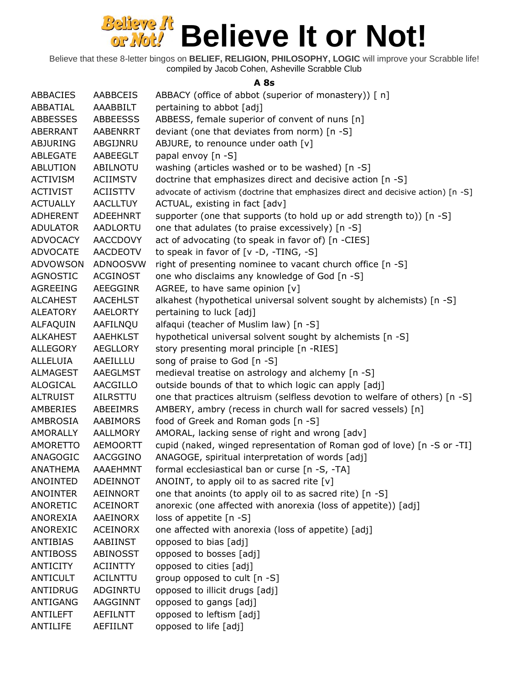Believe that these 8-letter bingos on **BELIEF, RELIGION, PHILOSOPHY, LOGIC** will improve your Scrabble life! compiled by Jacob Cohen, Asheville Scrabble Club

### **A 8s**

| ABBACIES        | <b>AABBCEIS</b> | ABBACY (office of abbot (superior of monastery)) [ n]                             |
|-----------------|-----------------|-----------------------------------------------------------------------------------|
| ABBATIAL        | AAABBILT        | pertaining to abbot [adj]                                                         |
| <b>ABBESSES</b> | <b>ABBEESSS</b> | ABBESS, female superior of convent of nuns [n]                                    |
| ABERRANT        | AABENRRT        | deviant (one that deviates from norm) [n -S]                                      |
| <b>ABJURING</b> | ABGIJNRU        | ABJURE, to renounce under oath [v]                                                |
| ABLEGATE        | AABEEGLT        | papal envoy [n -S]                                                                |
| <b>ABLUTION</b> | ABILNOTU        | washing (articles washed or to be washed) [n -S]                                  |
| <b>ACTIVISM</b> | ACIIMSTV        | doctrine that emphasizes direct and decisive action [n -S]                        |
| <b>ACTIVIST</b> | <b>ACIISTTV</b> | advocate of activism (doctrine that emphasizes direct and decisive action) [n -S] |
| <b>ACTUALLY</b> | <b>AACLLTUY</b> | ACTUAL, existing in fact [adv]                                                    |
| <b>ADHERENT</b> | ADEEHNRT        | supporter (one that supports (to hold up or add strength to)) [n -S]              |
| <b>ADULATOR</b> | AADLORTU        | one that adulates (to praise excessively) [n -S]                                  |
| ADVOCACY        | <b>AACCDOVY</b> | act of advocating (to speak in favor of) [n -CIES]                                |
| <b>ADVOCATE</b> | AACDEOTV        | to speak in favor of [v -D, -TING, -S]                                            |
| <b>ADVOWSON</b> | <b>ADNOOSVW</b> | right of presenting nominee to vacant church office [n -S]                        |
| <b>AGNOSTIC</b> | <b>ACGINOST</b> | one who disclaims any knowledge of God [n -S]                                     |
| AGREEING        | AEEGGINR        | AGREE, to have same opinion [v]                                                   |
| <b>ALCAHEST</b> | <b>AACEHLST</b> | alkahest (hypothetical universal solvent sought by alchemists) [n -S]             |
| ALEATORY        | AAELORTY        | pertaining to luck [adj]                                                          |
| ALFAQUIN        | AAFILNQU        | alfaqui (teacher of Muslim law) [n -S]                                            |
| <b>ALKAHEST</b> | <b>AAEHKLST</b> | hypothetical universal solvent sought by alchemists [n -S]                        |
| <b>ALLEGORY</b> | AEGLLORY        | story presenting moral principle [n -RIES]                                        |
| <b>ALLELUIA</b> | AAEILLLU        | song of praise to God [n -S]                                                      |
| ALMAGEST        | AAEGLMST        | medieval treatise on astrology and alchemy [n -S]                                 |
| ALOGICAL        | AACGILLO        | outside bounds of that to which logic can apply [adj]                             |
| <b>ALTRUIST</b> | AILRSTTU        | one that practices altruism (selfless devotion to welfare of others) [n -S]       |
| AMBERIES        | ABEEIMRS        | AMBERY, ambry (recess in church wall for sacred vessels) [n]                      |
| AMBROSIA        | AABIMORS        | food of Greek and Roman gods [n -S]                                               |
| AMORALLY        | AALLMORY        | AMORAL, lacking sense of right and wrong [adv]                                    |
| AMORETTO        | AEMOORTT        | cupid (naked, winged representation of Roman god of love) [n -S or -TI]           |
| ANAGOGIC        | AACGGINO        | ANAGOGE, spiritual interpretation of words [adj]                                  |
| <b>ANATHEMA</b> | AAAEHMNT        | formal ecclesiastical ban or curse [n -S, -TA]                                    |
| ANOINTED        | ADEINNOT        | ANOINT, to apply oil to as sacred rite $[v]$                                      |
| <b>ANOINTER</b> | AEINNORT        | one that anoints (to apply oil to as sacred rite) [n -S]                          |
| ANORETIC        | <b>ACEINORT</b> | anorexic (one affected with anorexia (loss of appetite)) [adj]                    |
| ANOREXIA        | AAEINORX        | loss of appetite [n -S]                                                           |
| <b>ANOREXIC</b> | <b>ACEINORX</b> | one affected with anorexia (loss of appetite) [adj]                               |
| <b>ANTIBIAS</b> | AABIINST        | opposed to bias [adj]                                                             |
| <b>ANTIBOSS</b> | ABINOSST        | opposed to bosses [adj]                                                           |
| <b>ANTICITY</b> | <b>ACIINTTY</b> | opposed to cities [adj]                                                           |
| <b>ANTICULT</b> | <b>ACILNTTU</b> | group opposed to cult [n -S]                                                      |
| <b>ANTIDRUG</b> | ADGINRTU        | opposed to illicit drugs [adj]                                                    |
| ANTIGANG        | AAGGINNT        | opposed to gangs [adj]                                                            |
| <b>ANTILEFT</b> | <b>AEFILNTT</b> | opposed to leftism [adj]                                                          |
| <b>ANTILIFE</b> | AEFIILNT        | opposed to life [adj]                                                             |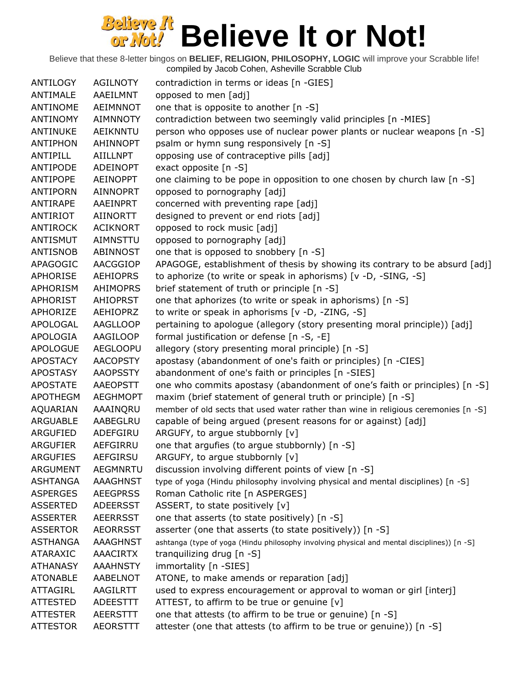| ANTILOGY        | <b>AGILNOTY</b> | contradiction in terms or ideas [n -GIES]                                                   |
|-----------------|-----------------|---------------------------------------------------------------------------------------------|
| ANTIMALE        | AAEILMNT        | opposed to men [adj]                                                                        |
| ANTINOME        | AEIMNNOT        | one that is opposite to another [n -S]                                                      |
| <b>ANTINOMY</b> | <b>AIMNNOTY</b> | contradiction between two seemingly valid principles [n -MIES]                              |
| ANTINUKE        | AEIKNNTU        | person who opposes use of nuclear power plants or nuclear weapons [n -S]                    |
| <b>ANTIPHON</b> | <b>AHINNOPT</b> | psalm or hymn sung responsively [n -S]                                                      |
| ANTIPILL        | <b>AIILLNPT</b> | opposing use of contraceptive pills [adj]                                                   |
| ANTIPODE        | <b>ADEINOPT</b> | exact opposite $[n -S]$                                                                     |
| ANTIPOPE        | <b>AEINOPPT</b> | one claiming to be pope in opposition to one chosen by church law [n -S]                    |
| <b>ANTIPORN</b> | <b>AINNOPRT</b> | opposed to pornography [adj]                                                                |
| ANTIRAPE        | AAEINPRT        | concerned with preventing rape [adj]                                                        |
| ANTIRIOT        | AIINORTT        | designed to prevent or end riots [adj]                                                      |
| <b>ANTIROCK</b> | <b>ACIKNORT</b> | opposed to rock music [adj]                                                                 |
| ANTISMUT        | AIMNSTTU        | opposed to pornography [adj]                                                                |
| <b>ANTISNOB</b> | <b>ABINNOST</b> | one that is opposed to snobbery [n -S]                                                      |
| APAGOGIC        | AACGGIOP        | APAGOGE, establishment of thesis by showing its contrary to be absurd [adj]                 |
| APHORISE        | <b>AEHIOPRS</b> | to aphorize (to write or speak in aphorisms) [v -D, -SING, -S]                              |
| APHORISM        | <b>AHIMOPRS</b> | brief statement of truth or principle [n -S]                                                |
| <b>APHORIST</b> | <b>AHIOPRST</b> | one that aphorizes (to write or speak in aphorisms) [n -S]                                  |
| APHORIZE        | AEHIOPRZ        | to write or speak in aphorisms [v -D, -ZING, -S]                                            |
| APOLOGAL        | <b>AAGLLOOP</b> | pertaining to apologue (allegory (story presenting moral principle)) [adj]                  |
| <b>APOLOGIA</b> | AAGILOOP        | formal justification or defense [n -S, -E]                                                  |
| <b>APOLOGUE</b> | <b>AEGLOOPU</b> | allegory (story presenting moral principle) [n -S]                                          |
| <b>APOSTACY</b> | <b>AACOPSTY</b> | apostasy (abandonment of one's faith or principles) [n -CIES]                               |
| <b>APOSTASY</b> | <b>AAOPSSTY</b> | abandonment of one's faith or principles [n -SIES]                                          |
| <b>APOSTATE</b> | AAEOPSTT        | one who commits apostasy (abandonment of one's faith or principles) [n -S]                  |
| <b>APOTHEGM</b> | <b>AEGHMOPT</b> | maxim (brief statement of general truth or principle) [n -S]                                |
| AQUARIAN        | AAAINQRU        | member of old sects that used water rather than wine in religious ceremonies [n -S]         |
| <b>ARGUABLE</b> | AABEGLRU        | capable of being argued (present reasons for or against) [adj]                              |
| ARGUFIED        | ADEFGIRU        | ARGUFY, to argue stubbornly [v]                                                             |
| <b>ARGUFIER</b> | AEFGIRRU        | one that argufies (to argue stubbornly) [n -S]                                              |
| <b>ARGUFIES</b> | <b>AEFGIRSU</b> | ARGUFY, to argue stubbornly [v]                                                             |
| <b>ARGUMENT</b> | <b>AEGMNRTU</b> | discussion involving different points of view [n -S]                                        |
| <b>ASHTANGA</b> | <b>AAAGHNST</b> | type of yoga (Hindu philosophy involving physical and mental disciplines) [n -S]            |
| <b>ASPERGES</b> | <b>AEEGPRSS</b> | Roman Catholic rite [n ASPERGES]                                                            |
| <b>ASSERTED</b> | <b>ADEERSST</b> | ASSERT, to state positively [v]                                                             |
| <b>ASSERTER</b> | <b>AEERRSST</b> | one that asserts (to state positively) [n -S]                                               |
| <b>ASSERTOR</b> | <b>AEORRSST</b> | asserter (one that asserts (to state positively)) [n -S]                                    |
| <b>ASTHANGA</b> | AAAGHNST        | ashtanga (type of yoga (Hindu philosophy involving physical and mental disciplines)) [n -S] |
| ATARAXIC        | <b>AAACIRTX</b> | tranguilizing drug [n -S]                                                                   |
| <b>ATHANASY</b> | <b>AAAHNSTY</b> | immortality [n -SIES]                                                                       |
| <b>ATONABLE</b> | AABELNOT        | ATONE, to make amends or reparation [adj]                                                   |
| ATTAGIRL        | AAGILRTT        | used to express encouragement or approval to woman or girl [interj]                         |
| <b>ATTESTED</b> | <b>ADEESTTT</b> | ATTEST, to affirm to be true or genuine [v]                                                 |
| <b>ATTESTER</b> | <b>AEERSTTT</b> | one that attests (to affirm to be true or genuine) [n -S]                                   |
| <b>ATTESTOR</b> | <b>AEORSTTT</b> | attester (one that attests (to affirm to be true or genuine)) [n -S]                        |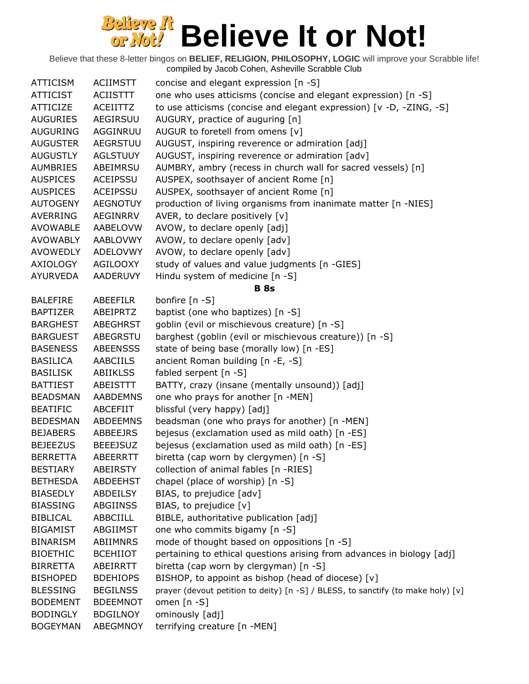| <b>ATTICISM</b> | <b>ACIIMSTT</b> | concise and elegant expression [n -S]                                            |
|-----------------|-----------------|----------------------------------------------------------------------------------|
| <b>ATTICIST</b> | ACIISTTT        | one who uses atticisms (concise and elegant expression) [n -S]                   |
| <b>ATTICIZE</b> | ACEIITTZ        | to use atticisms (concise and elegant expression) [v -D, -ZING, -S]              |
| <b>AUGURIES</b> | AEGIRSUU        | AUGURY, practice of auguring [n]                                                 |
| <b>AUGURING</b> | AGGINRUU        | AUGUR to foretell from omens [v]                                                 |
| <b>AUGUSTER</b> | <b>AEGRSTUU</b> | AUGUST, inspiring reverence or admiration [adj]                                  |
| <b>AUGUSTLY</b> | <b>AGLSTUUY</b> | AUGUST, inspiring reverence or admiration [adv]                                  |
| <b>AUMBRIES</b> | ABEIMRSU        | AUMBRY, ambry (recess in church wall for sacred vessels) [n]                     |
| <b>AUSPICES</b> | ACEIPSSU        | AUSPEX, soothsayer of ancient Rome [n]                                           |
| <b>AUSPICES</b> | <b>ACEIPSSU</b> | AUSPEX, soothsayer of ancient Rome [n]                                           |
| <b>AUTOGENY</b> | <b>AEGNOTUY</b> | production of living organisms from inanimate matter [n -NIES]                   |
| <b>AVERRING</b> | AEGINRRV        | AVER, to declare positively [v]                                                  |
| <b>AVOWABLE</b> | AABELOVW        | AVOW, to declare openly [adj]                                                    |
| <b>AVOWABLY</b> | AABLOVWY        | AVOW, to declare openly [adv]                                                    |
| <b>AVOWEDLY</b> | <b>ADELOVWY</b> | AVOW, to declare openly [adv]                                                    |
| AXIOLOGY        | <b>AGILOOXY</b> | study of values and value judgments [n -GIES]                                    |
| <b>AYURVEDA</b> | <b>AADERUVY</b> | Hindu system of medicine [n -S]                                                  |
|                 |                 | <b>B</b> 8s                                                                      |
| <b>BALEFIRE</b> | <b>ABEEFILR</b> | bonfire $[n - S]$                                                                |
| <b>BAPTIZER</b> | ABEIPRTZ        | baptist (one who baptizes) [n -S]                                                |
| <b>BARGHEST</b> | <b>ABEGHRST</b> | goblin (evil or mischievous creature) [n -S]                                     |
| <b>BARGUEST</b> | ABEGRSTU        | barghest (goblin (evil or mischievous creature)) [n -S]                          |
| <b>BASENESS</b> | <b>ABEENSSS</b> | state of being base (morally low) [n -ES]                                        |
| <b>BASILICA</b> | <b>AABCIILS</b> | ancient Roman building [n -E, -S]                                                |
| <b>BASILISK</b> | <b>ABIIKLSS</b> | fabled serpent [n -S]                                                            |
| <b>BATTIEST</b> | ABEISTTT        | BATTY, crazy (insane (mentally unsound)) [adj]                                   |
| <b>BEADSMAN</b> | <b>AABDEMNS</b> | one who prays for another [n -MEN]                                               |
| <b>BEATIFIC</b> | <b>ABCEFIIT</b> | blissful (very happy) [adj]                                                      |
| <b>BEDESMAN</b> | <b>ABDEEMNS</b> | beadsman (one who prays for another) [n -MEN]                                    |
| <b>BEJABERS</b> | ABBEEJRS        | bejesus (exclamation used as mild oath) [n -ES]                                  |
| <b>BEJEEZUS</b> | <b>BEEEJSUZ</b> | bejesus (exclamation used as mild oath) [n -ES]                                  |
| <b>BERRETTA</b> | ABEERRTT        | biretta (cap worn by clergymen) [n -S]                                           |
| <b>BESTIARY</b> | <b>ABEIRSTY</b> | collection of animal fables [n -RIES]                                            |
| <b>BETHESDA</b> | <b>ABDEEHST</b> | chapel (place of worship) [n -S]                                                 |
| <b>BIASEDLY</b> | ABDEILSY        | BIAS, to prejudice [adv]                                                         |
| <b>BIASSING</b> | ABGIINSS        | BIAS, to prejudice [v]                                                           |
| <b>BIBLICAL</b> | ABBCIILL        | BIBLE, authoritative publication [adj]                                           |
| <b>BIGAMIST</b> | ABGIIMST        | one who commits bigamy [n -S]                                                    |
| <b>BINARISM</b> | <b>ABIIMNRS</b> | mode of thought based on oppositions [n -S]                                      |
| <b>BIOETHIC</b> | <b>BCEHIIOT</b> | pertaining to ethical questions arising from advances in biology [adj]           |
| <b>BIRRETTA</b> | ABEIRRTT        | biretta (cap worn by clergyman) [n -S]                                           |
| <b>BISHOPED</b> | <b>BDEHIOPS</b> | BISHOP, to appoint as bishop (head of diocese) [v]                               |
| <b>BLESSING</b> | <b>BEGILNSS</b> | prayer (devout petition to deity) [n -S] / BLESS, to sanctify (to make holy) [v] |
| <b>BODEMENT</b> | <b>BDEEMNOT</b> | omen $[n - S]$                                                                   |
| <b>BODINGLY</b> | <b>BDGILNOY</b> | ominously [adj]                                                                  |
| <b>BOGEYMAN</b> | ABEGMNOY        | terrifying creature [n -MEN]                                                     |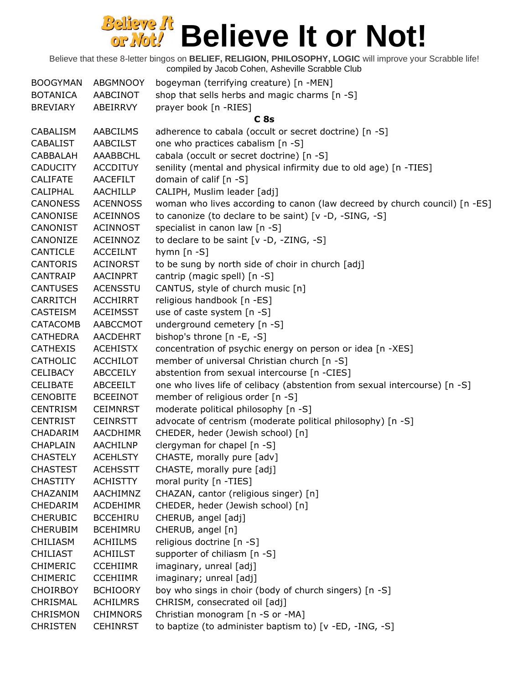| <b>BOOGYMAN</b> | <b>ABGMNOOY</b> | bogeyman (terrifying creature) [n -MEN]                                    |
|-----------------|-----------------|----------------------------------------------------------------------------|
| <b>BOTANICA</b> | AABCINOT        | shop that sells herbs and magic charms [n -S]                              |
| <b>BREVIARY</b> | ABEIRRVY        | prayer book [n -RIES]                                                      |
|                 |                 | C <sub>8s</sub>                                                            |
| <b>CABALISM</b> | <b>AABCILMS</b> | adherence to cabala (occult or secret doctrine) [n -S]                     |
| <b>CABALIST</b> | <b>AABCILST</b> | one who practices cabalism [n -S]                                          |
| CABBALAH        | AAABBCHL        | cabala (occult or secret doctrine) [n -S]                                  |
| <b>CADUCITY</b> | <b>ACCDITUY</b> | senility (mental and physical infirmity due to old age) [n -TIES]          |
| <b>CALIFATE</b> | AACEFILT        | domain of calif [n -S]                                                     |
| CALIPHAL        | <b>AACHILLP</b> | CALIPH, Muslim leader [adj]                                                |
| <b>CANONESS</b> | <b>ACENNOSS</b> | woman who lives according to canon (law decreed by church council) [n -ES] |
| CANONISE        | <b>ACEINNOS</b> | to canonize (to declare to be saint) [v -D, -SING, -S]                     |
| CANONIST        | <b>ACINNOST</b> | specialist in canon law [n -S]                                             |
| CANONIZE        | ACEINNOZ        | to declare to be saint $[v -D, -ZING, -S]$                                 |
| CANTICLE        | ACCEILNT        | hymn $[n - S]$                                                             |
| <b>CANTORIS</b> | <b>ACINORST</b> | to be sung by north side of choir in church [adj]                          |
| CANTRAIP        | <b>AACINPRT</b> | cantrip (magic spell) [n -S]                                               |
| <b>CANTUSES</b> | <b>ACENSSTU</b> | CANTUS, style of church music [n]                                          |
| CARRITCH        | <b>ACCHIRRT</b> | religious handbook [n -ES]                                                 |
| CASTEISM        | <b>ACEIMSST</b> | use of caste system [n -S]                                                 |
| CATACOMB        | AABCCMOT        | underground cemetery [n -S]                                                |
| <b>CATHEDRA</b> | AACDEHRT        | bishop's throne [n -E, -S]                                                 |
| <b>CATHEXIS</b> | <b>ACEHISTX</b> | concentration of psychic energy on person or idea [n -XES]                 |
| <b>CATHOLIC</b> | <b>ACCHILOT</b> | member of universal Christian church [n -S]                                |
| <b>CELIBACY</b> | ABCCEILY        | abstention from sexual intercourse [n -CIES]                               |
| <b>CELIBATE</b> | ABCEEILT        | one who lives life of celibacy (abstention from sexual intercourse) [n -S] |
| <b>CENOBITE</b> | <b>BCEEINOT</b> | member of religious order [n -S]                                           |
| <b>CENTRISM</b> | <b>CEIMNRST</b> | moderate political philosophy [n -S]                                       |
| <b>CENTRIST</b> | <b>CEINRSTT</b> | advocate of centrism (moderate political philosophy) [n -S]                |
| CHADARIM        | AACDHIMR        | CHEDER, heder (Jewish school) [n]                                          |
| <b>CHAPLAIN</b> | AACHILNP        | clergyman for chapel [n -S]                                                |
| <b>CHASTELY</b> | <b>ACEHLSTY</b> | CHASTE, morally pure [adv]                                                 |
| <b>CHASTEST</b> | <b>ACEHSSTT</b> | CHASTE, morally pure [adj]                                                 |
| <b>CHASTITY</b> | <b>ACHISTTY</b> | moral purity [n -TIES]                                                     |
| CHAZANIM        | AACHIMNZ        | CHAZAN, cantor (religious singer) [n]                                      |
| CHEDARIM        | ACDEHIMR        | CHEDER, heder (Jewish school) [n]                                          |
| <b>CHERUBIC</b> | <b>BCCEHIRU</b> | CHERUB, angel [adj]                                                        |
| <b>CHERUBIM</b> | <b>BCEHIMRU</b> | CHERUB, angel [n]                                                          |
| <b>CHILIASM</b> | <b>ACHIILMS</b> | religious doctrine [n -S]                                                  |
| <b>CHILIAST</b> | <b>ACHIILST</b> | supporter of chiliasm [n -S]                                               |
| <b>CHIMERIC</b> | <b>CCEHIIMR</b> | imaginary, unreal [adj]                                                    |
| <b>CHIMERIC</b> | <b>CCEHIIMR</b> | imaginary; unreal [adj]                                                    |
| <b>CHOIRBOY</b> | <b>BCHIOORY</b> | boy who sings in choir (body of church singers) [n -S]                     |
| CHRISMAL        | <b>ACHILMRS</b> | CHRISM, consecrated oil [adj]                                              |
| <b>CHRISMON</b> | <b>CHIMNORS</b> | Christian monogram [n -S or -MA]                                           |
| <b>CHRISTEN</b> | <b>CEHINRST</b> | to baptize (to administer baptism to) [v -ED, -ING, -S]                    |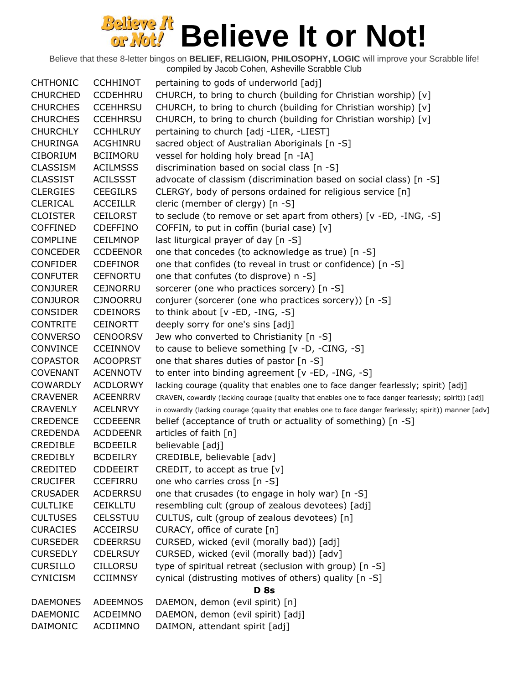| <b>CHTHONIC</b> | <b>CCHHINOT</b> | pertaining to gods of underworld [adj]                                                                  |
|-----------------|-----------------|---------------------------------------------------------------------------------------------------------|
| <b>CHURCHED</b> | <b>CCDEHHRU</b> | CHURCH, to bring to church (building for Christian worship) [v]                                         |
| <b>CHURCHES</b> | <b>CCEHHRSU</b> | CHURCH, to bring to church (building for Christian worship) [v]                                         |
| <b>CHURCHES</b> | <b>CCEHHRSU</b> | CHURCH, to bring to church (building for Christian worship) [v]                                         |
| <b>CHURCHLY</b> | <b>CCHHLRUY</b> | pertaining to church [adj -LIER, -LIEST]                                                                |
| <b>CHURINGA</b> | ACGHINRU        | sacred object of Australian Aboriginals [n -S]                                                          |
| <b>CIBORIUM</b> | <b>BCIIMORU</b> | vessel for holding holy bread [n -IA]                                                                   |
| <b>CLASSISM</b> | <b>ACILMSSS</b> | discrimination based on social class [n -S]                                                             |
| <b>CLASSIST</b> | <b>ACILSSST</b> | advocate of classism (discrimination based on social class) [n -S]                                      |
| <b>CLERGIES</b> | <b>CEEGILRS</b> | CLERGY, body of persons ordained for religious service [n]                                              |
| <b>CLERICAL</b> | <b>ACCEILLR</b> | cleric (member of clergy) [n -S]                                                                        |
| <b>CLOISTER</b> | <b>CEILORST</b> | to seclude (to remove or set apart from others) [v -ED, -ING, -S]                                       |
| <b>COFFINED</b> | <b>CDEFFINO</b> | COFFIN, to put in coffin (burial case) [v]                                                              |
| <b>COMPLINE</b> | <b>CEILMNOP</b> | last liturgical prayer of day [n -S]                                                                    |
| <b>CONCEDER</b> | <b>CCDEENOR</b> | one that concedes (to acknowledge as true) [n -S]                                                       |
| <b>CONFIDER</b> | <b>CDEFINOR</b> | one that confides (to reveal in trust or confidence) [n -S]                                             |
| <b>CONFUTER</b> | <b>CEFNORTU</b> | one that confutes (to disprove) n -S]                                                                   |
| <b>CONJURER</b> | <b>CEJNORRU</b> | sorcerer (one who practices sorcery) [n -S]                                                             |
| <b>CONJUROR</b> | <b>CJNOORRU</b> | conjurer (sorcerer (one who practices sorcery)) [n -S]                                                  |
| <b>CONSIDER</b> | <b>CDEINORS</b> | to think about $[v - ED, -ING, -S]$                                                                     |
| <b>CONTRITE</b> | <b>CEINORTT</b> | deeply sorry for one's sins [adj]                                                                       |
| <b>CONVERSO</b> | <b>CENOORSV</b> | Jew who converted to Christianity [n -S]                                                                |
| <b>CONVINCE</b> | <b>CCEINNOV</b> | to cause to believe something [v -D, -CING, -S]                                                         |
| <b>COPASTOR</b> | <b>ACOOPRST</b> | one that shares duties of pastor [n -S]                                                                 |
| <b>COVENANT</b> | <b>ACENNOTV</b> | to enter into binding agreement [v -ED, -ING, -S]                                                       |
| <b>COWARDLY</b> | <b>ACDLORWY</b> | lacking courage (quality that enables one to face danger fearlessly; spirit) [adj]                      |
| <b>CRAVENER</b> | <b>ACEENRRV</b> | CRAVEN, cowardly (lacking courage (quality that enables one to face danger fearlessly; spirit)) [adj]   |
| <b>CRAVENLY</b> | <b>ACELNRVY</b> | in cowardly (lacking courage (quality that enables one to face danger fearlessly; spirit)) manner [adv] |
| <b>CREDENCE</b> | <b>CCDEEENR</b> | belief (acceptance of truth or actuality of something) [n -S]                                           |
| <b>CREDENDA</b> | <b>ACDDEENR</b> | articles of faith [n]                                                                                   |
| <b>CREDIBLE</b> | <b>BCDEEILR</b> | believable [adj]                                                                                        |
| <b>CREDIBLY</b> | <b>BCDEILRY</b> | CREDIBLE, believable [adv]                                                                              |
| CREDITED        | <b>CDDEEIRT</b> | CREDIT, to accept as true $[v]$                                                                         |
| <b>CRUCIFER</b> | <b>CCEFIRRU</b> | one who carries cross [n -S]                                                                            |
| <b>CRUSADER</b> | <b>ACDERRSU</b> | one that crusades (to engage in holy war) [n -S]                                                        |
| <b>CULTLIKE</b> | <b>CEIKLLTU</b> | resembling cult (group of zealous devotees) [adj]                                                       |
| <b>CULTUSES</b> | <b>CELSSTUU</b> | CULTUS, cult (group of zealous devotees) [n]                                                            |
| <b>CURACIES</b> | <b>ACCEIRSU</b> | CURACY, office of curate [n]                                                                            |
| <b>CURSEDER</b> | <b>CDEERRSU</b> | CURSED, wicked (evil (morally bad)) [adj]                                                               |
| <b>CURSEDLY</b> | <b>CDELRSUY</b> | CURSED, wicked (evil (morally bad)) [adv]                                                               |
| <b>CURSILLO</b> | <b>CILLORSU</b> | type of spiritual retreat (seclusion with group) [n -S]                                                 |
| <b>CYNICISM</b> | <b>CCIIMNSY</b> | cynical (distrusting motives of others) quality [n -S]                                                  |
|                 |                 | <b>D</b> 8s                                                                                             |
| <b>DAEMONES</b> | <b>ADEEMNOS</b> | DAEMON, demon (evil spirit) [n]                                                                         |
| <b>DAEMONIC</b> | ACDEIMNO        | DAEMON, demon (evil spirit) [adj]                                                                       |
| DAIMONIC        | ACDIIMNO        | DAIMON, attendant spirit [adj]                                                                          |
|                 |                 |                                                                                                         |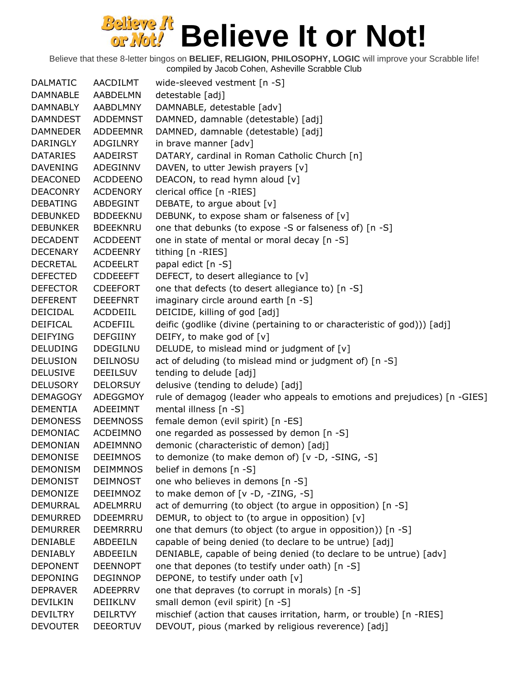Believe that these 8-letter bingos on **BELIEF, RELIGION, PHILOSOPHY, LOGIC** will improve your Scrabble life! compiled by Jacob Cohen, Asheville Scrabble Club

DALMATIC AACDILMT wide-sleeved vestment [n -S] DAMNABLE AABDELMN detestable [adj] DAMNABLY AABDLMNY DAMNABLE, detestable [adv] DAMNDEST ADDEMNST DAMNED, damnable (detestable) [adj] DAMNEDER ADDEEMNR DAMNED, damnable (detestable) [adj] DARINGLY ADGILNRY in brave manner [adv] DATARIES AADEIRST DATARY, cardinal in Roman Catholic Church [n] DAVENING ADEGINNV DAVEN, to utter Jewish prayers [v] DEACONED ACDDEENO DEACON, to read hymn aloud [v] DEACONRY ACDENORY clerical office [n -RIES] DEBATING ABDEGINT DEBATE, to argue about [v] DEBUNKED BDDEEKNU DEBUNK, to expose sham or falseness of [v] DEBUNKER BDEEKNRU one that debunks (to expose -S or falseness of) [n -S] DECADENT ACDDEENT one in state of mental or moral decay [n -S] DECENARY ACDEENRY tithing [n -RIES] DECRETAL ACDEELRT papal edict [n -S] DEFECTED CDDEEEFT DEFECT, to desert allegiance to [v] DEFECTOR CDEEFORT one that defects (to desert allegiance to) [n -S] DEFERENT DEEEFNRT imaginary circle around earth [n -S] DEICIDAL ACDDEIIL DEICIDE, killing of god [adj] DEIFICAL ACDEFIIL deific (godlike (divine (pertaining to or characteristic of god))) [adj] DEIFYING DEFGIINY DEIFY, to make god of [v] DELUDING DDEGILNU DELUDE, to mislead mind or judgment of [v] DELUSION DEILNOSU act of deluding (to mislead mind or judgment of) [n -S] DELUSIVE DEEILSUV tending to delude [adj] DELUSORY DELORSUY delusive (tending to delude) [adj] DEMAGOGY ADEGGMOY rule of demagog (leader who appeals to emotions and prejudices) [n -GIES] DEMENTIA ADEEIMNT mental illness [n -S] DEMONESS DEEMNOSS female demon (evil spirit) [n -ES] DEMONIAC ACDEIMNO one regarded as possessed by demon [n -S] DEMONIAN ADEIMNNO demonic (characteristic of demon) [adj] DEMONISE DEEIMNOS to demonize (to make demon of) [v -D, -SING, -S] DEMONISM DEIMMNOS belief in demons [n -S] DEMONIST DEIMNOST one who believes in demons [n -S] DEMONIZE DEEIMNOZ to make demon of [v -D, -ZING, -S] DEMURRAL ADELMRRU act of demurring (to object (to argue in opposition) [n -S] DEMURRED DDEEMRRU DEMUR, to object to (to argue in opposition)  $[v]$ DEMURRER DEEMRRRU one that demurs (to object (to argue in opposition)) [n -S] DENIABLE ABDEEILN capable of being denied (to declare to be untrue) [adj] DENIABLY ABDEEILN DENIABLE, capable of being denied (to declare to be untrue) [adv] DEPONENT DEENNOPT one that depones (to testify under oath) [n -S] DEPONING DEGINNOP DEPONE, to testify under oath [v] DEPRAVER ADEEPRRV one that depraves (to corrupt in morals) [n -S] DEVILKIN DEIIKLNV small demon (evil spirit) [n -S] DEVILTRY DEILRTVY mischief (action that causes irritation, harm, or trouble) [n -RIES] DEVOUTER DEEORTUV DEVOUT, pious (marked by religious reverence) [adj]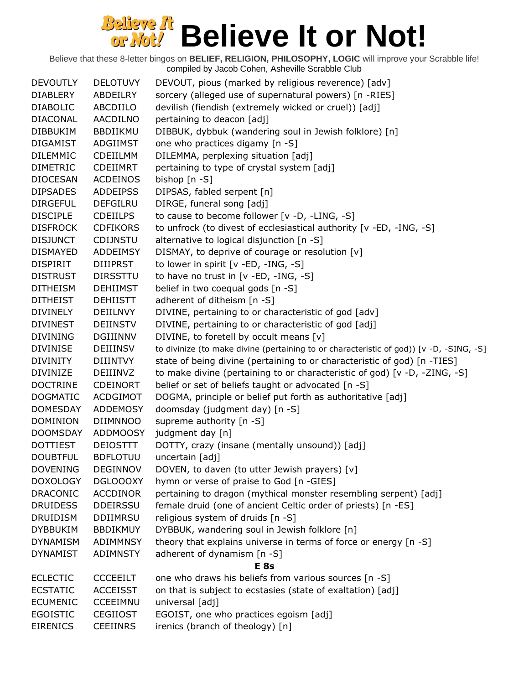| <b>DEVOUTLY</b> | <b>DELOTUVY</b> | DEVOUT, pious (marked by religious reverence) [adv]                                     |
|-----------------|-----------------|-----------------------------------------------------------------------------------------|
| <b>DIABLERY</b> | ABDEILRY        | sorcery (alleged use of supernatural powers) [n -RIES]                                  |
| <b>DIABOLIC</b> | ABCDIILO        | devilish (fiendish (extremely wicked or cruel)) [adj]                                   |
| <b>DIACONAL</b> | <b>AACDILNO</b> | pertaining to deacon [adj]                                                              |
| <b>DIBBUKIM</b> | BBDIIKMU        | DIBBUK, dybbuk (wandering soul in Jewish folklore) [n]                                  |
| <b>DIGAMIST</b> | ADGIIMST        | one who practices digamy [n -S]                                                         |
| <b>DILEMMIC</b> | CDEIILMM        | DILEMMA, perplexing situation [adj]                                                     |
| <b>DIMETRIC</b> | <b>CDEIIMRT</b> | pertaining to type of crystal system [adj]                                              |
| <b>DIOCESAN</b> | <b>ACDEINOS</b> | bishop [n -S]                                                                           |
| <b>DIPSADES</b> | <b>ADDEIPSS</b> | DIPSAS, fabled serpent [n]                                                              |
| <b>DIRGEFUL</b> | <b>DEFGILRU</b> | DIRGE, funeral song [adj]                                                               |
| <b>DISCIPLE</b> | <b>CDEIILPS</b> | to cause to become follower [v -D, -LING, -S]                                           |
| <b>DISFROCK</b> | <b>CDFIKORS</b> | to unfrock (to divest of ecclesiastical authority [v -ED, -ING, -S]                     |
| <b>DISJUNCT</b> | <b>CDIJNSTU</b> | alternative to logical disjunction [n -S]                                               |
| <b>DISMAYED</b> | <b>ADDEIMSY</b> | DISMAY, to deprive of courage or resolution [v]                                         |
| <b>DISPIRIT</b> | <b>DIIIPRST</b> | to lower in spirit [v -ED, -ING, -S]                                                    |
| <b>DISTRUST</b> | <b>DIRSSTTU</b> | to have no trust in $[v - ED, -ING, -S]$                                                |
| <b>DITHEISM</b> | <b>DEHIIMST</b> | belief in two coequal gods [n -S]                                                       |
| <b>DITHEIST</b> | <b>DEHIISTT</b> | adherent of ditheism [n -S]                                                             |
| <b>DIVINELY</b> | DEIILNVY        | DIVINE, pertaining to or characteristic of god [adv]                                    |
| <b>DIVINEST</b> | <b>DEIINSTV</b> | DIVINE, pertaining to or characteristic of god [adj]                                    |
| <b>DIVINING</b> | <b>DGIIINNV</b> | DIVINE, to foretell by occult means [v]                                                 |
| <b>DIVINISE</b> | <b>DEIIINSV</b> | to divinize (to make divine (pertaining to or characteristic of god)) [v -D, -SING, -S] |
| <b>DIVINITY</b> | <b>DIIINTVY</b> | state of being divine (pertaining to or characteristic of god) [n -TIES]                |
| <b>DIVINIZE</b> | DEIIINVZ        | to make divine (pertaining to or characteristic of god) [v -D, -ZING, -S]               |
| <b>DOCTRINE</b> | <b>CDEINORT</b> | belief or set of beliefs taught or advocated [n -S]                                     |
| <b>DOGMATIC</b> | <b>ACDGIMOT</b> | DOGMA, principle or belief put forth as authoritative [adj]                             |
| <b>DOMESDAY</b> | <b>ADDEMOSY</b> | doomsday (judgment day) [n -S]                                                          |
| <b>DOMINION</b> | DIIMNNOO        | supreme authority [n -S]                                                                |
| <b>DOOMSDAY</b> | <b>ADDMOOSY</b> | judgment day [n]                                                                        |
| <b>DOTTIEST</b> | <b>DEIOSTTT</b> | DOTTY, crazy (insane (mentally unsound)) [adj]                                          |
| <b>DOUBTFUL</b> | <b>BDFLOTUU</b> | uncertain [adj]                                                                         |
| <b>DOVENING</b> | <b>DEGINNOV</b> | DOVEN, to daven (to utter Jewish prayers) [v]                                           |
| <b>DOXOLOGY</b> | <b>DGLOOOXY</b> | hymn or verse of praise to God [n -GIES]                                                |
| <b>DRACONIC</b> | <b>ACCDINOR</b> | pertaining to dragon (mythical monster resembling serpent) [adj]                        |
| <b>DRUIDESS</b> | <b>DDEIRSSU</b> | female druid (one of ancient Celtic order of priests) [n -ES]                           |
| <b>DRUIDISM</b> | <b>DDIIMRSU</b> | religious system of druids [n -S]                                                       |
| <b>DYBBUKIM</b> | <b>BBDIKMUY</b> | DYBBUK, wandering soul in Jewish folklore [n]                                           |
| <b>DYNAMISM</b> | ADIMMNSY        | theory that explains universe in terms of force or energy [n -S]                        |
| <b>DYNAMIST</b> | ADIMNSTY        | adherent of dynamism [n -S]                                                             |
|                 |                 | E 8s                                                                                    |
| <b>ECLECTIC</b> | <b>CCCEEILT</b> | one who draws his beliefs from various sources [n -S]                                   |
| <b>ECSTATIC</b> | <b>ACCEISST</b> | on that is subject to ecstasies (state of exaltation) [adj]                             |
| <b>ECUMENIC</b> | CCEEIMNU        | universal [adj]                                                                         |
| <b>EGOISTIC</b> | <b>CEGIIOST</b> | EGOIST, one who practices egoism [adj]                                                  |
| <b>EIRENICS</b> | <b>CEEIINRS</b> | irenics (branch of theology) [n]                                                        |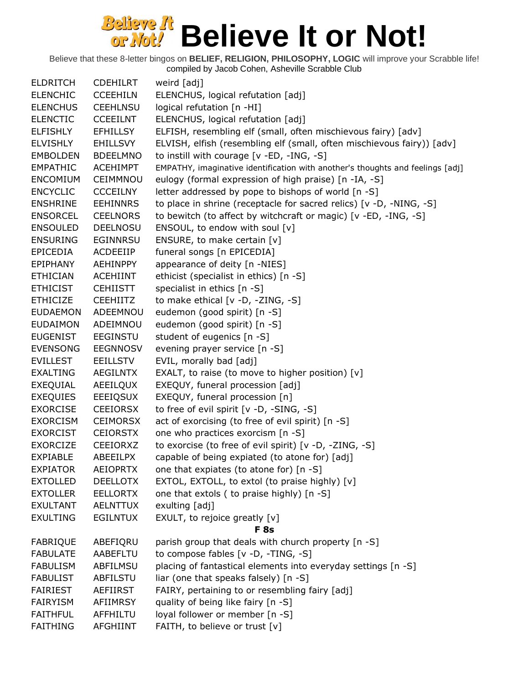| <b>ELDRITCH</b> | <b>CDEHILRT</b> | weird [adj]                                                                    |
|-----------------|-----------------|--------------------------------------------------------------------------------|
| <b>ELENCHIC</b> | <b>CCEEHILN</b> | ELENCHUS, logical refutation [adj]                                             |
| <b>ELENCHUS</b> | <b>CEEHLNSU</b> | logical refutation [n -HI]                                                     |
| <b>ELENCTIC</b> | <b>CCEEILNT</b> | ELENCHUS, logical refutation [adj]                                             |
| <b>ELFISHLY</b> | <b>EFHILLSY</b> | ELFISH, resembling elf (small, often mischievous fairy) [adv]                  |
| <b>ELVISHLY</b> | <b>EHILLSVY</b> | ELVISH, elfish (resembling elf (small, often mischievous fairy)) [adv]         |
| <b>EMBOLDEN</b> | <b>BDEELMNO</b> | to instill with courage [v -ED, -ING, -S]                                      |
| <b>EMPATHIC</b> | <b>ACEHIMPT</b> | EMPATHY, imaginative identification with another's thoughts and feelings [adj] |
| <b>ENCOMIUM</b> | CEIMMNOU        | eulogy (formal expression of high praise) [n -IA, -S]                          |
| <b>ENCYCLIC</b> | <b>CCCEILNY</b> | letter addressed by pope to bishops of world [n -S]                            |
| <b>ENSHRINE</b> | <b>EEHINNRS</b> | to place in shrine (receptacle for sacred relics) [v -D, -NING, -S]            |
| <b>ENSORCEL</b> | <b>CEELNORS</b> | to bewitch (to affect by witchcraft or magic) [v -ED, -ING, -S]                |
| <b>ENSOULED</b> | <b>DEELNOSU</b> | ENSOUL, to endow with soul [v]                                                 |
| <b>ENSURING</b> | EGINNRSU        | ENSURE, to make certain [v]                                                    |
| <b>EPICEDIA</b> | ACDEEIIP        | funeral songs [n EPICEDIA]                                                     |
| <b>EPIPHANY</b> | <b>AEHINPPY</b> | appearance of deity [n -NIES]                                                  |
| <b>ETHICIAN</b> | ACEHIINT        | ethicist (specialist in ethics) [n -S]                                         |
| <b>ETHICIST</b> | <b>CEHIISTT</b> | specialist in ethics [n -S]                                                    |
| <b>ETHICIZE</b> | <b>CEEHIITZ</b> | to make ethical [v -D, -ZING, -S]                                              |
| <b>EUDAEMON</b> | ADEEMNOU        | eudemon (good spirit) [n -S]                                                   |
| <b>EUDAIMON</b> | ADEIMNOU        | eudemon (good spirit) [n -S]                                                   |
| <b>EUGENIST</b> | <b>EEGINSTU</b> | student of eugenics [n -S]                                                     |
| <b>EVENSONG</b> | <b>EEGNNOSV</b> | evening prayer service [n -S]                                                  |
| <b>EVILLEST</b> | <b>EEILLSTV</b> | EVIL, morally bad [adj]                                                        |
| <b>EXALTING</b> | <b>AEGILNTX</b> | EXALT, to raise (to move to higher position) $[v]$                             |
| EXEQUIAL        | AEEILQUX        | EXEQUY, funeral procession [adj]                                               |
| <b>EXEQUIES</b> | <b>EEEIQSUX</b> | EXEQUY, funeral procession [n]                                                 |
| <b>EXORCISE</b> | <b>CEEIORSX</b> | to free of evil spirit [v -D, -SING, -S]                                       |
| <b>EXORCISM</b> | <b>CEIMORSX</b> | act of exorcising (to free of evil spirit) [n -S]                              |
| <b>EXORCIST</b> | <b>CEIORSTX</b> | one who practices exorcism [n -S]                                              |
| <b>EXORCIZE</b> | CEEIORXZ        | to exorcise (to free of evil spirit) [v -D, -ZING, -S]                         |
| <b>EXPIABLE</b> | <b>ABEEILPX</b> | capable of being expiated (to atone for) [adj]                                 |
| <b>EXPIATOR</b> | <b>AEIOPRTX</b> | one that expiates (to atone for) [n -S]                                        |
| <b>EXTOLLED</b> | <b>DEELLOTX</b> | EXTOL, EXTOLL, to extol (to praise highly) [v]                                 |
| <b>EXTOLLER</b> | <b>EELLORTX</b> | one that extols (to praise highly) [n -S]                                      |
| <b>EXULTANT</b> | <b>AELNTTUX</b> | exulting [adj]                                                                 |
| <b>EXULTING</b> | <b>EGILNTUX</b> | EXULT, to rejoice greatly [v]                                                  |
|                 |                 | <b>F</b> 8s                                                                    |
| <b>FABRIQUE</b> | ABEFIORU        | parish group that deals with church property [n -S]                            |
| <b>FABULATE</b> | AABEFLTU        | to compose fables [v -D, -TING, -S]                                            |
| <b>FABULISM</b> | ABFILMSU        | placing of fantastical elements into everyday settings [n -S]                  |
| <b>FABULIST</b> | <b>ABFILSTU</b> | liar (one that speaks falsely) [n -S]                                          |
| <b>FAIRIEST</b> | AEFIIRST        | FAIRY, pertaining to or resembling fairy [adj]                                 |
| <b>FAIRYISM</b> | AFIIMRSY        | quality of being like fairy [n -S]                                             |
| <b>FAITHFUL</b> | AFFHILTU        | loyal follower or member [n -S]                                                |
|                 |                 |                                                                                |
| <b>FAITHING</b> | <b>AFGHIINT</b> | FAITH, to believe or trust [v]                                                 |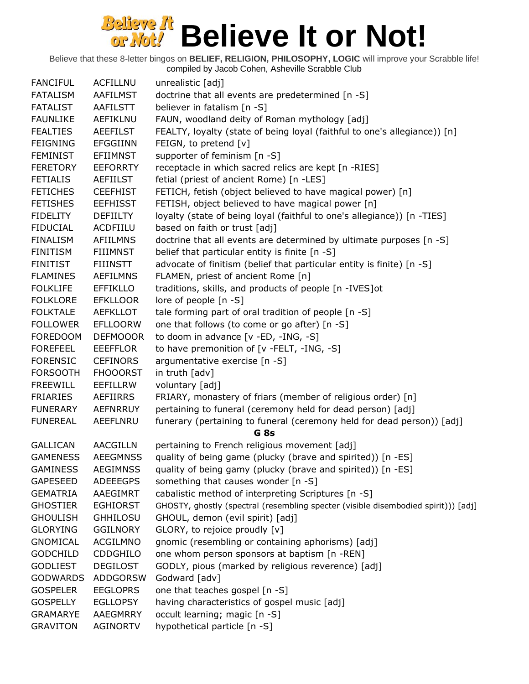| <b>FANCIFUL</b> | <b>ACFILLNU</b> | unrealistic [adj]                                                                  |
|-----------------|-----------------|------------------------------------------------------------------------------------|
| <b>FATALISM</b> | AAFILMST        | doctrine that all events are predetermined [n -S]                                  |
| <b>FATALIST</b> | <b>AAFILSTT</b> | believer in fatalism [n -S]                                                        |
| <b>FAUNLIKE</b> | AEFIKLNU        | FAUN, woodland deity of Roman mythology [adj]                                      |
| <b>FEALTIES</b> | <b>AEEFILST</b> | FEALTY, loyalty (state of being loyal (faithful to one's allegiance)) [n]          |
| <b>FEIGNING</b> | <b>EFGGIINN</b> | FEIGN, to pretend [v]                                                              |
| <b>FEMINIST</b> | <b>EFIIMNST</b> | supporter of feminism [n -S]                                                       |
| <b>FERETORY</b> | <b>EEFORRTY</b> | receptacle in which sacred relics are kept [n -RIES]                               |
| <b>FETIALIS</b> | <b>AEFIILST</b> | fetial (priest of ancient Rome) [n -LES]                                           |
| <b>FETICHES</b> | <b>CEEFHIST</b> | FETICH, fetish (object believed to have magical power) [n]                         |
| <b>FETISHES</b> | <b>EEFHISST</b> | FETISH, object believed to have magical power [n]                                  |
| <b>FIDELITY</b> | <b>DEFIILTY</b> | loyalty (state of being loyal (faithful to one's allegiance)) [n -TIES]            |
| <b>FIDUCIAL</b> | ACDFIILU        | based on faith or trust [adj]                                                      |
| <b>FINALISM</b> | <b>AFIILMNS</b> | doctrine that all events are determined by ultimate purposes [n -S]                |
| <b>FINITISM</b> |                 |                                                                                    |
|                 | <b>FIIIMNST</b> | belief that particular entity is finite [n -S]                                     |
| <b>FINITIST</b> | <b>FIIINSTT</b> | advocate of finitism (belief that particular entity is finite) [n -S]              |
| <b>FLAMINES</b> | <b>AEFILMNS</b> | FLAMEN, priest of ancient Rome [n]                                                 |
| <b>FOLKLIFE</b> | <b>EFFIKLLO</b> | traditions, skills, and products of people [n -IVES]ot                             |
| <b>FOLKLORE</b> | <b>EFKLLOOR</b> | lore of people [n -S]                                                              |
| <b>FOLKTALE</b> | <b>AEFKLLOT</b> | tale forming part of oral tradition of people [n -S]                               |
| <b>FOLLOWER</b> | <b>EFLLOORW</b> | one that follows (to come or go after) [n -S]                                      |
| <b>FOREDOOM</b> | <b>DEFMOOOR</b> | to doom in advance [v -ED, -ING, -S]                                               |
| <b>FOREFEEL</b> | <b>EEEFFLOR</b> | to have premonition of [v -FELT, -ING, -S]                                         |
| <b>FORENSIC</b> | <b>CEFINORS</b> | argumentative exercise [n -S]                                                      |
| <b>FORSOOTH</b> | <b>FHOOORST</b> | in truth [adv]                                                                     |
| <b>FREEWILL</b> | EEFILLRW        | voluntary [adj]                                                                    |
| <b>FRIARIES</b> | <b>AEFIIRRS</b> | FRIARY, monastery of friars (member of religious order) [n]                        |
| <b>FUNERARY</b> | <b>AEFNRRUY</b> | pertaining to funeral (ceremony held for dead person) [adj]                        |
| <b>FUNEREAL</b> | AEEFLNRU        | funerary (pertaining to funeral (ceremony held for dead person)) [adj]             |
|                 |                 | G <sub>8s</sub>                                                                    |
| <b>GALLICAN</b> | <b>AACGILLN</b> | pertaining to French religious movement [adj]                                      |
| <b>GAMENESS</b> | <b>AEEGMNSS</b> | quality of being game (plucky (brave and spirited)) [n -ES]                        |
| <b>GAMINESS</b> | <b>AEGIMNSS</b> | quality of being gamy (plucky (brave and spirited)) [n -ES]                        |
| <b>GAPESEED</b> | <b>ADEEEGPS</b> | something that causes wonder [n -S]                                                |
| <b>GEMATRIA</b> | AAEGIMRT        | cabalistic method of interpreting Scriptures [n -S]                                |
| <b>GHOSTIER</b> | <b>EGHIORST</b> | GHOSTY, ghostly (spectral (resembling specter (visible disembodied spirit))) [adj] |
| <b>GHOULISH</b> | <b>GHHILOSU</b> | GHOUL, demon (evil spirit) [adj]                                                   |
| <b>GLORYING</b> | <b>GGILNORY</b> | GLORY, to rejoice proudly [v]                                                      |
| <b>GNOMICAL</b> | <b>ACGILMNO</b> | gnomic (resembling or containing aphorisms) [adj]                                  |
| <b>GODCHILD</b> | CDDGHILO        | one whom person sponsors at baptism [n -REN]                                       |
| <b>GODLIEST</b> | <b>DEGILOST</b> | GODLY, pious (marked by religious reverence) [adj]                                 |
| <b>GODWARDS</b> | <b>ADDGORSW</b> | Godward [adv]                                                                      |
| <b>GOSPELER</b> | <b>EEGLOPRS</b> | one that teaches gospel [n -S]                                                     |
| <b>GOSPELLY</b> | <b>EGLLOPSY</b> | having characteristics of gospel music [adj]                                       |
| <b>GRAMARYE</b> | <b>AAEGMRRY</b> | occult learning; magic [n -S]                                                      |
| <b>GRAVITON</b> | AGINORTV        | hypothetical particle [n -S]                                                       |
|                 |                 |                                                                                    |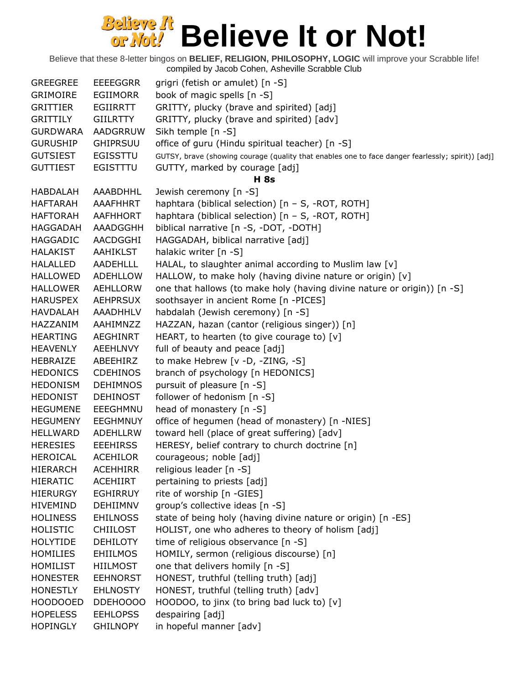| <b>GREEGREE</b> | <b>EEEEGGRR</b> | grigri (fetish or amulet) [n -S]                                                                  |
|-----------------|-----------------|---------------------------------------------------------------------------------------------------|
| <b>GRIMOIRE</b> | <b>EGIIMORR</b> | book of magic spells [n -S]                                                                       |
| <b>GRITTIER</b> | <b>EGIIRRTT</b> | GRITTY, plucky (brave and spirited) [adj]                                                         |
| <b>GRITTILY</b> | <b>GIILRTTY</b> | GRITTY, plucky (brave and spirited) [adv]                                                         |
| <b>GURDWARA</b> | <b>AADGRRUW</b> | Sikh temple [n -S]                                                                                |
| <b>GURUSHIP</b> | <b>GHIPRSUU</b> | office of guru (Hindu spiritual teacher) [n -S]                                                   |
| <b>GUTSIEST</b> | <b>EGISSTTU</b> | GUTSY, brave (showing courage (quality that enables one to face danger fearlessly; spirit)) [adj] |
| <b>GUTTIEST</b> | EGISTTTU        | GUTTY, marked by courage [adj]                                                                    |
|                 |                 | <b>H</b> 8s                                                                                       |
| <b>HABDALAH</b> | AAABDHHL        | Jewish ceremony [n -S]                                                                            |
| <b>HAFTARAH</b> | <b>AAAFHHRT</b> | haphtara (biblical selection) [n - S, -ROT, ROTH]                                                 |
| <b>HAFTORAH</b> | AAFHHORT        | haphtara (biblical selection) [n - S, -ROT, ROTH]                                                 |
| <b>HAGGADAH</b> | AAADGGHH        | biblical narrative [n -S, -DOT, -DOTH]                                                            |
| <b>HAGGADIC</b> | AACDGGHI        | HAGGADAH, biblical narrative [adj]                                                                |
| <b>HALAKIST</b> | <b>AAHIKLST</b> | halakic writer [n -S]                                                                             |
| <b>HALALLED</b> | <b>AADEHLLL</b> | HALAL, to slaughter animal according to Muslim law [v]                                            |
| <b>HALLOWED</b> | <b>ADEHLLOW</b> | HALLOW, to make holy (having divine nature or origin) [v]                                         |
| <b>HALLOWER</b> | <b>AEHLLORW</b> | one that hallows (to make holy (having divine nature or origin)) [n -S]                           |
| <b>HARUSPEX</b> | <b>AEHPRSUX</b> | soothsayer in ancient Rome [n -PICES]                                                             |
| <b>HAVDALAH</b> | AAADHHLV        | habdalah (Jewish ceremony) [n -S]                                                                 |
| HAZZANIM        | AAHIMNZZ        | HAZZAN, hazan (cantor (religious singer)) [n]                                                     |
| <b>HEARTING</b> | <b>AEGHINRT</b> | HEART, to hearten (to give courage to) $[v]$                                                      |
|                 |                 |                                                                                                   |
| <b>HEAVENLY</b> | <b>AEEHLNVY</b> | full of beauty and peace [adj]                                                                    |
| HEBRAIZE        | ABEEHIRZ        | to make Hebrew [v -D, -ZING, -S]                                                                  |
| <b>HEDONICS</b> | <b>CDEHINOS</b> | branch of psychology [n HEDONICS]                                                                 |
| <b>HEDONISM</b> | <b>DEHIMNOS</b> | pursuit of pleasure [n -S]                                                                        |
| <b>HEDONIST</b> | <b>DEHINOST</b> | follower of hedonism [n -S]                                                                       |
| <b>HEGUMENE</b> | EEEGHMNU        | head of monastery [n -S]                                                                          |
| <b>HEGUMENY</b> | <b>EEGHMNUY</b> | office of hegumen (head of monastery) [n -NIES]                                                   |
| <b>HELLWARD</b> | ADEHLLRW        | toward hell (place of great suffering) [adv]                                                      |
| <b>HERESIES</b> | <b>EEEHIRSS</b> | HERESY, belief contrary to church doctrine [n]                                                    |
| <b>HEROICAL</b> | <b>ACEHILOR</b> | courageous; noble [adj]                                                                           |
| <b>HIERARCH</b> | <b>ACEHHIRR</b> | religious leader [n -S]                                                                           |
| <b>HIERATIC</b> | <b>ACEHIIRT</b> | pertaining to priests [adj]                                                                       |
| <b>HIERURGY</b> | <b>EGHIRRUY</b> | rite of worship [n -GIES]                                                                         |
| <b>HIVEMIND</b> | <b>DEHIIMNV</b> | group's collective ideas [n -S]                                                                   |
| <b>HOLINESS</b> | <b>EHILNOSS</b> | state of being holy (having divine nature or origin) [n -ES]                                      |
| <b>HOLISTIC</b> | <b>CHIILOST</b> | HOLIST, one who adheres to theory of holism [adj]                                                 |
| <b>HOLYTIDE</b> | <b>DEHILOTY</b> | time of religious observance [n -S]                                                               |
| <b>HOMILIES</b> | <b>EHIILMOS</b> | HOMILY, sermon (religious discourse) [n]                                                          |
| <b>HOMILIST</b> | <b>HIILMOST</b> | one that delivers homily [n -S]                                                                   |
| <b>HONESTER</b> | <b>EEHNORST</b> | HONEST, truthful (telling truth) [adj]                                                            |
| <b>HONESTLY</b> | <b>EHLNOSTY</b> | HONEST, truthful (telling truth) [adv]                                                            |
| <b>HOODOOED</b> | DDEH0000        | HOODOO, to jinx (to bring bad luck to) [v]                                                        |
| <b>HOPELESS</b> | <b>EEHLOPSS</b> | despairing [adj]                                                                                  |
| <b>HOPINGLY</b> | <b>GHILNOPY</b> | in hopeful manner [adv]                                                                           |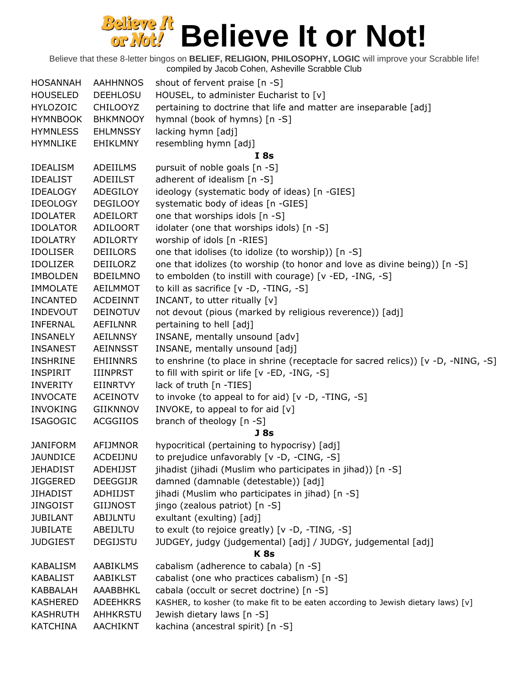| <b>HOSANNAH</b>             | <b>AAHHNNOS</b> | shout of fervent praise [n -S]                                                            |
|-----------------------------|-----------------|-------------------------------------------------------------------------------------------|
| <b>HOUSELED</b>             | <b>DEEHLOSU</b> | HOUSEL, to administer Eucharist to [v]                                                    |
| <b>HYLOZOIC</b>             | <b>CHILOOYZ</b> | pertaining to doctrine that life and matter are inseparable [adj]                         |
| <b>HYMNBOOK</b>             | <b>BHKMNOOY</b> | hymnal (book of hymns) [n -S]                                                             |
| <b>HYMNLESS</b>             | <b>EHLMNSSY</b> | lacking hymn [adj]                                                                        |
| <b>HYMNLIKE</b>             | <b>EHIKLMNY</b> | resembling hymn [adj]                                                                     |
|                             |                 | I 8s                                                                                      |
| <b>IDEALISM</b>             | ADEIILMS        | pursuit of noble goals [n -S]                                                             |
| <b>IDEALIST</b>             | ADEIILST        | adherent of idealism [n -S]                                                               |
| <b>IDEALOGY</b>             | ADEGILOY        | ideology (systematic body of ideas) [n -GIES]                                             |
| <b>IDEOLOGY</b>             | <b>DEGILOOY</b> | systematic body of ideas [n -GIES]                                                        |
| <b>IDOLATER</b>             | ADEILORT        | one that worships idols [n -S]                                                            |
| <b>IDOLATOR</b>             | <b>ADILOORT</b> | idolater (one that worships idols) [n -S]                                                 |
| <b>IDOLATRY</b>             | <b>ADILORTY</b> | worship of idols [n -RIES]                                                                |
| <b>IDOLISER</b>             | <b>DEIILORS</b> | one that idolises (to idolize (to worship)) [n -S]                                        |
| <b>IDOLIZER</b>             | DEIILORZ        | one that idolizes (to worship (to honor and love as divine being)) [n -S]                 |
| <b>IMBOLDEN</b>             | <b>BDEILMNO</b> | to embolden (to instill with courage) [v -ED, -ING, -S]                                   |
| <b>IMMOLATE</b>             | <b>AEILMMOT</b> | to kill as sacrifice [v -D, -TING, -S]                                                    |
| <b>INCANTED</b>             | <b>ACDEINNT</b> | INCANT, to utter ritually [v]                                                             |
| <b>INDEVOUT</b>             | <b>DEINOTUV</b> | not devout (pious (marked by religious reverence)) [adj]                                  |
| <b>INFERNAL</b>             | AEFILNNR        | pertaining to hell [adj]                                                                  |
| <b>INSANELY</b>             | <b>AEILNNSY</b> | INSANE, mentally unsound [adv]                                                            |
| <b>INSANEST</b>             | <b>AEINNSST</b> | INSANE, mentally unsound [adj]                                                            |
| <b>INSHRINE</b>             | <b>EHIINNRS</b> | to enshrine (to place in shrine (receptacle for sacred relics)) [v -D, -NING, -S]         |
| <b>INSPIRIT</b>             | IIINPRST        | to fill with spirit or life [v -ED, -ING, -S]                                             |
| <b>INVERITY</b>             | EIINRTVY        | lack of truth [n -TIES]                                                                   |
| <b>INVOCATE</b>             | <b>ACEINOTV</b> | to invoke (to appeal to for aid) [v -D, -TING, -S]                                        |
| <b>INVOKING</b>             | <b>GIIKNNOV</b> | INVOKE, to appeal to for aid [v]                                                          |
| <b>ISAGOGIC</b>             | <b>ACGGIIOS</b> | branch of theology [n -S]                                                                 |
|                             |                 | <b>J</b> 8s                                                                               |
| <b>JANIFORM</b>             | AFIJMNOR        | hypocritical (pertaining to hypocrisy) [adj]                                              |
| <b>JAUNDICE</b>             | ACDEIJNU        | to prejudice unfavorably [v -D, -CING, -S]                                                |
| JEHADIST                    | <b>ADEHIJST</b> | jihadist (jihadi (Muslim who participates in jihad)) [n -S]                               |
| <b>JIGGERED</b>             | <b>DEEGGIJR</b> | damned (damnable (detestable)) [adj]                                                      |
| <b>JIHADIST</b>             | ADHIIJST        | jihadi (Muslim who participates in jihad) [n -S]                                          |
| <b>JINGOIST</b>             | <b>GIIJNOST</b> | jingo (zealous patriot) [n -S]                                                            |
| <b>JUBILANT</b>             | <b>ABIJLNTU</b> | exultant (exulting) [adj]                                                                 |
| <b>JUBILATE</b>             | ABEIJLTU        | to exult (to rejoice greatly) [v -D, -TING, -S]                                           |
| <b>JUDGIEST</b>             | <b>DEGIJSTU</b> | JUDGEY, judgy (judgemental) [adj] / JUDGY, judgemental [adj]                              |
|                             |                 | <b>K</b> 8s                                                                               |
| KABALISM                    | AABIKLMS        | cabalism (adherence to cabala) [n -S]                                                     |
|                             | <b>AABIKLST</b> |                                                                                           |
| <b>KABALIST</b><br>KABBALAH | AAABBHKL        | cabalist (one who practices cabalism) [n -S]<br>cabala (occult or secret doctrine) [n -S] |
|                             |                 |                                                                                           |
| <b>KASHERED</b>             | <b>ADEEHKRS</b> | KASHER, to kosher (to make fit to be eaten according to Jewish dietary laws) [v]          |
| <b>KASHRUTH</b>             | AHHKRSTU        | Jewish dietary laws [n -S]                                                                |
| <b>KATCHINA</b>             | AACHIKNT        | kachina (ancestral spirit) [n -S]                                                         |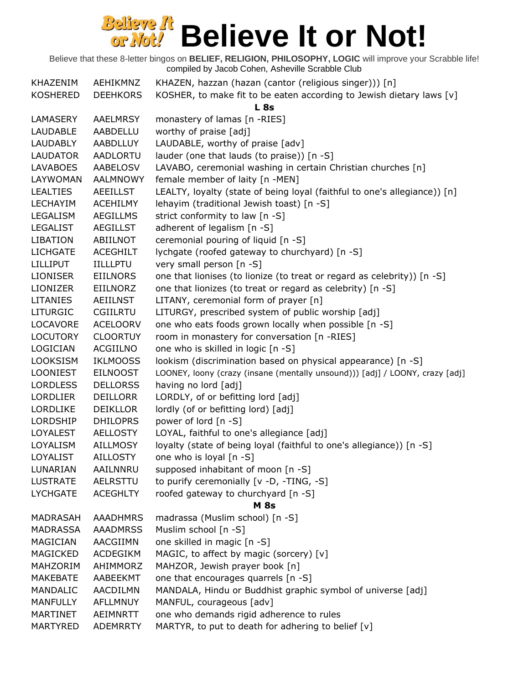| KHAZENIM        | AEHIKMNZ        | KHAZEN, hazzan (hazan (cantor (religious singer))) [n]                       |
|-----------------|-----------------|------------------------------------------------------------------------------|
| <b>KOSHERED</b> | <b>DEEHKORS</b> | KOSHER, to make fit to be eaten according to Jewish dietary laws [v]         |
|                 |                 | L <sub>8s</sub>                                                              |
| LAMASERY        | <b>AAELMRSY</b> | monastery of lamas [n -RIES]                                                 |
| LAUDABLE        | AABDELLU        | worthy of praise [adj]                                                       |
| LAUDABLY        | AABDLLUY        | LAUDABLE, worthy of praise [adv]                                             |
| <b>LAUDATOR</b> | <b>AADLORTU</b> | lauder (one that lauds (to praise)) [n -S]                                   |
| <b>LAVABOES</b> | AABELOSV        | LAVABO, ceremonial washing in certain Christian churches [n]                 |
| LAYWOMAN        | <b>AALMNOWY</b> | female member of laity [n -MEN]                                              |
| <b>LEALTIES</b> | <b>AEEILLST</b> | LEALTY, loyalty (state of being loyal (faithful to one's allegiance)) [n]    |
| <b>LECHAYIM</b> | <b>ACEHILMY</b> | lehayim (traditional Jewish toast) [n -S]                                    |
| LEGALISM        | <b>AEGILLMS</b> | strict conformity to law [n -S]                                              |
| <b>LEGALIST</b> | <b>AEGILLST</b> | adherent of legalism [n -S]                                                  |
| <b>LIBATION</b> | ABIILNOT        | ceremonial pouring of liquid [n -S]                                          |
| <b>LICHGATE</b> | <b>ACEGHILT</b> | lychgate (roofed gateway to churchyard) [n -S]                               |
| <b>LILLIPUT</b> | <b>IILLLPTU</b> | very small person [n -S]                                                     |
| <b>LIONISER</b> | <b>EIILNORS</b> | one that lionises (to lionize (to treat or regard as celebrity)) [n -S]      |
| <b>LIONIZER</b> | EIILNORZ        | one that lionizes (to treat or regard as celebrity) [n -S]                   |
| <b>LITANIES</b> | AEIILNST        | LITANY, ceremonial form of prayer [n]                                        |
| <b>LITURGIC</b> | CGIILRTU        | LITURGY, prescribed system of public worship [adj]                           |
| LOCAVORE        | <b>ACELOORV</b> | one who eats foods grown locally when possible [n -S]                        |
| <b>LOCUTORY</b> | <b>CLOORTUY</b> | room in monastery for conversation [n -RIES]                                 |
| <b>LOGICIAN</b> | ACGIILNO        | one who is skilled in logic [n -S]                                           |
| <b>LOOKSISM</b> | <b>IKLMOOSS</b> | lookism (discrimination based on physical appearance) [n -S]                 |
| <b>LOONIEST</b> | <b>EILNOOST</b> | LOONEY, loony (crazy (insane (mentally unsound))) [adj] / LOONY, crazy [adj] |
| <b>LORDLESS</b> | <b>DELLORSS</b> | having no lord [adj]                                                         |
| <b>LORDLIER</b> | <b>DEILLORR</b> | LORDLY, of or befitting lord [adj]                                           |
| <b>LORDLIKE</b> | <b>DEIKLLOR</b> | lordly (of or befitting lord) [adj]                                          |
| LORDSHIP        | <b>DHILOPRS</b> | power of lord [n -S]                                                         |
| LOYALEST        | <b>AELLOSTY</b> | LOYAL, faithful to one's allegiance [adj]                                    |
| LOYALISM        | <b>AILLMOSY</b> | loyalty (state of being loyal (faithful to one's allegiance)) [n -S]         |
| LOYALIST        | <b>AILLOSTY</b> | one who is loyal [n -S]                                                      |
| LUNARIAN        | AAILNNRU        | supposed inhabitant of moon [n -S]                                           |
| <b>LUSTRATE</b> | AELRSTTU        | to purify ceremonially [v -D, -TING, -S]                                     |
| <b>LYCHGATE</b> | <b>ACEGHLTY</b> | roofed gateway to churchyard [n -S]                                          |
|                 |                 | <b>M</b> 8s                                                                  |
| <b>MADRASAH</b> | <b>AAADHMRS</b> | madrassa (Muslim school) [n -S]                                              |
| <b>MADRASSA</b> | <b>AAADMRSS</b> | Muslim school [n -S]                                                         |
| <b>MAGICIAN</b> | AACGIIMN        | one skilled in magic [n -S]                                                  |
| <b>MAGICKED</b> | <b>ACDEGIKM</b> | MAGIC, to affect by magic (sorcery) [v]                                      |
| MAHZORIM        | AHIMMORZ        | MAHZOR, Jewish prayer book [n]                                               |
| <b>MAKEBATE</b> | AABEEKMT        | one that encourages quarrels [n -S]                                          |
| <b>MANDALIC</b> | AACDILMN        | MANDALA, Hindu or Buddhist graphic symbol of universe [adj]                  |
| <b>MANFULLY</b> | <b>AFLLMNUY</b> | MANFUL, courageous [adv]                                                     |
| <b>MARTINET</b> | AEIMNRTT        | one who demands rigid adherence to rules                                     |
| MARTYRED        | <b>ADEMRRTY</b> | MARTYR, to put to death for adhering to belief [v]                           |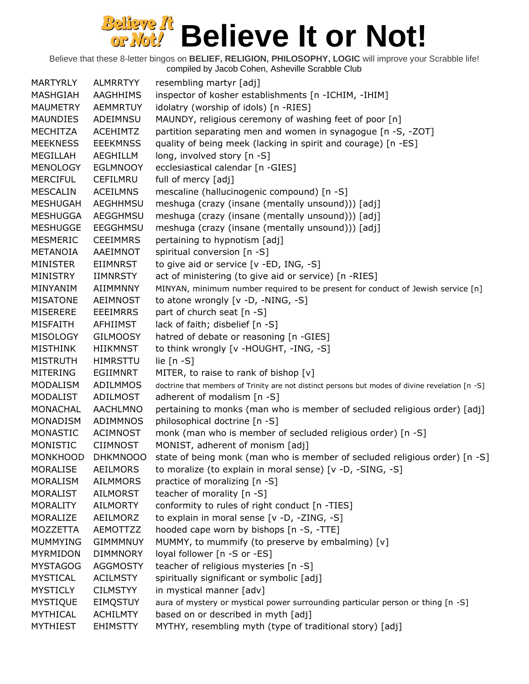Believe that these 8-letter bingos on **BELIEF, RELIGION, PHILOSOPHY, LOGIC** will improve your Scrabble life!

compiled by Jacob Cohen, Asheville Scrabble Club MARTYRLY ALMRRTYY resembling martyr [adj] MASHGIAH AAGHHIMS inspector of kosher establishments [n -ICHIM, -IHIM] MAUMETRY AEMMRTUY idolatry (worship of idols) [n -RIES] MAUNDIES ADEIMNSU MAUNDY, religious ceremony of washing feet of poor [n] MECHITZA ACEHIMTZ partition separating men and women in synagogue [n -S, -ZOT] MEEKNESS EEEKMNSS quality of being meek (lacking in spirit and courage) [n -ES] MEGILLAH AEGHILLM long, involved story [n -S] MENOLOGY EGLMNOOY ecclesiastical calendar [n -GIES] MERCIFUL CEFILMRU full of mercy [adj] MESCALIN ACEILMNS mescaline (hallucinogenic compound) [n -S] MESHUGAH AEGHHMSU meshuga (crazy (insane (mentally unsound))) [adj] MESHUGGA AEGGHMSU meshuga (crazy (insane (mentally unsound))) [adj] MESHUGGE EEGGHMSU meshuga (crazy (insane (mentally unsound))) [adj] MESMERIC CEEIMMRS pertaining to hypnotism [adj] METANOIA AAEIMNOT spiritual conversion [n -S] MINISTER EIIMNRST to give aid or service [v -ED, ING, -S] MINISTRY IIMNRSTY act of ministering (to give aid or service) [n -RIES] MINYANIM AIIMMNNY MINYAN, minimum number required to be present for conduct of Jewish service [n] MISATONE AEIMNOST to atone wrongly [v -D, -NING, -S] MISERERE EEEIMRRS part of church seat [n -S] MISFAITH AFHIIMST lack of faith; disbelief [n -S] MISOLOGY GILMOOSY hatred of debate or reasoning [n -GIES] MISTHINK HIIKMNST to think wrongly [v -HOUGHT, -ING, -S] MISTRUTH HIMRSTTU lie [n -S] MITERING EGIIMNRT MITER, to raise to rank of bishop [v] MODALISM ADILMMOS doctrine that members of Trinity are not distinct persons but modes of divine revelation [n -S] MODALIST ADILMOST adherent of modalism [n -S] MONACHAL AACHLMNO pertaining to monks (man who is member of secluded religious order) [adj] MONADISM ADIMMNOS philosophical doctrine [n -S] MONASTIC ACIMNOST monk (man who is member of secluded religious order) [n -S] MONISTIC CIIMNOST MONIST, adherent of monism [adj] MONKHOOD DHKMNOOO state of being monk (man who is member of secluded religious order) [n -S] MORALISE AEILMORS to moralize (to explain in moral sense) [v -D, -SING, -S] MORALISM AILMMORS practice of moralizing [n -S] MORALIST AILMORST teacher of morality [n -S] MORALITY AILMORTY conformity to rules of right conduct [n -TIES] MORALIZE AEILMORZ to explain in moral sense [v -D, -ZING, -S] MOZZETTA AEMOTTZZ hooded cape worn by bishops [n -S, -TTE] MUMMYING GIMMMNUY MUMMY, to mummify (to preserve by embalming) [v] MYRMIDON DIMMNORY loyal follower [n -S or -ES] MYSTAGOG AGGMOSTY teacher of religious mysteries [n -S] MYSTICAL ACILMSTY spiritually significant or symbolic [adj] MYSTICLY CILMSTYY in mystical manner [adv] MYSTIQUE EIMQSTUY aura of mystery or mystical power surrounding particular person or thing [n -S] MYTHICAL ACHILMTY based on or described in myth [adj] MYTHIEST EHIMSTTY MYTHY, resembling myth (type of traditional story) [adj]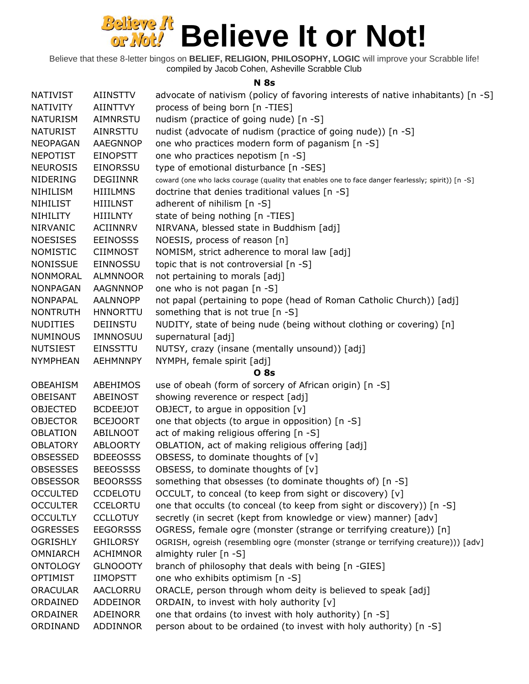Believe that these 8-letter bingos on **BELIEF, RELIGION, PHILOSOPHY, LOGIC** will improve your Scrabble life! compiled by Jacob Cohen, Asheville Scrabble Club

#### **N 8s**

| <b>NATIVIST</b> | <b>AIINSTTV</b> | advocate of nativism (policy of favoring interests of native inhabitants) [n -S]                   |
|-----------------|-----------------|----------------------------------------------------------------------------------------------------|
| <b>NATIVITY</b> | <b>AIINTTVY</b> | process of being born [n -TIES]                                                                    |
| <b>NATURISM</b> | AIMNRSTU        | nudism (practice of going nude) [n -S]                                                             |
| <b>NATURIST</b> | AINRSTTU        | nudist (advocate of nudism (practice of going nude)) [n -S]                                        |
| <b>NEOPAGAN</b> | <b>AAEGNNOP</b> | one who practices modern form of paganism [n -S]                                                   |
| <b>NEPOTIST</b> | <b>EINOPSTT</b> | one who practices nepotism [n -S]                                                                  |
| <b>NEUROSIS</b> | <b>EINORSSU</b> | type of emotional disturbance [n -SES]                                                             |
| <b>NIDERING</b> | <b>DEGIINNR</b> | coward (one who lacks courage (quality that enables one to face danger fearlessly; spirit)) [n -S] |
| <b>NIHILISM</b> | <b>HIIILMNS</b> | doctrine that denies traditional values [n -S]                                                     |
| <b>NIHILIST</b> | <b>HIIILNST</b> | adherent of nihilism $[n -S]$                                                                      |
| NIHILITY        | <b>HIIILNTY</b> | state of being nothing [n -TIES]                                                                   |
| <b>NIRVANIC</b> | <b>ACIINNRV</b> | NIRVANA, blessed state in Buddhism [adj]                                                           |
| <b>NOESISES</b> | <b>EEINOSSS</b> | NOESIS, process of reason [n]                                                                      |
| <b>NOMISTIC</b> | <b>CIIMNOST</b> | NOMISM, strict adherence to moral law [adj]                                                        |
| <b>NONISSUE</b> | <b>EINNOSSU</b> | topic that is not controversial [n -S]                                                             |
| NONMORAL        | <b>ALMNNOOR</b> | not pertaining to morals [adj]                                                                     |
| <b>NONPAGAN</b> | <b>AAGNNNOP</b> | one who is not pagan [n -S]                                                                        |
| NONPAPAL        | <b>AALNNOPP</b> | not papal (pertaining to pope (head of Roman Catholic Church)) [adj]                               |
| <b>NONTRUTH</b> | <b>HNNORTTU</b> | something that is not true [n -S]                                                                  |
| <b>NUDITIES</b> | <b>DEIINSTU</b> | NUDITY, state of being nude (being without clothing or covering) [n]                               |
| <b>NUMINOUS</b> | IMNNOSUU        | supernatural [adj]                                                                                 |
| <b>NUTSIEST</b> | EINSSTTU        | NUTSY, crazy (insane (mentally unsound)) [adj]                                                     |
| <b>NYMPHEAN</b> | <b>AEHMNNPY</b> | NYMPH, female spirit [adj]                                                                         |
|                 |                 | <b>O</b> 8s                                                                                        |
| <b>OBEAHISM</b> | ABEHIMOS        | use of obeah (form of sorcery of African origin) [n -S]                                            |
| <b>OBEISANT</b> | ABEINOST        | showing reverence or respect [adj]                                                                 |
| <b>OBJECTED</b> | <b>BCDEEJOT</b> | OBJECT, to argue in opposition [v]                                                                 |
| <b>OBJECTOR</b> | <b>BCEJOORT</b> | one that objects (to argue in opposition) [n -S]                                                   |
| <b>OBLATION</b> | ABILNOOT        | act of making religious offering [n -S]                                                            |
| <b>OBLATORY</b> | <b>ABLOORTY</b> | OBLATION, act of making religious offering [adj]                                                   |
| OBSESSED        | <b>BDEEOSSS</b> | OBSESS, to dominate thoughts of [v]                                                                |
| <b>OBSESSES</b> | <b>BEEOSSSS</b> | OBSESS, to dominate thoughts of [v]                                                                |
| <b>OBSESSOR</b> | <b>BEOORSSS</b> | something that obsesses (to dominate thoughts of) [n -S]                                           |
| <b>OCCULTED</b> | <b>CCDELOTU</b> | OCCULT, to conceal (to keep from sight or discovery) [v]                                           |
| <b>OCCULTER</b> | <b>CCELORTU</b> | one that occults (to conceal (to keep from sight or discovery)) [n -S]                             |
| <b>OCCULTLY</b> | <b>CCLLOTUY</b> | secretly (in secret (kept from knowledge or view) manner) [adv]                                    |
| <b>OGRESSES</b> | <b>EEGORSSS</b> | OGRESS, female ogre (monster (strange or terrifying creature)) [n]                                 |
| <b>OGRISHLY</b> | <b>GHILORSY</b> | OGRISH, ogreish (resembling ogre (monster (strange or terrifying creature))) [adv]                 |
| <b>OMNIARCH</b> | <b>ACHIMNOR</b> | almighty ruler [n -S]                                                                              |
| <b>ONTOLOGY</b> | <b>GLNOOOTY</b> | branch of philosophy that deals with being [n -GIES]                                               |
| <b>OPTIMIST</b> | <b>IIMOPSTT</b> | one who exhibits optimism [n -S]                                                                   |
| <b>ORACULAR</b> | AACLORRU        | ORACLE, person through whom deity is believed to speak [adj]                                       |
| ORDAINED        | ADDEINOR        | ORDAIN, to invest with holy authority [v]                                                          |
| ORDAINER        | ADEINORR        | one that ordains (to invest with holy authority) [n -S]                                            |
| ORDINAND        | ADDINNOR        | person about to be ordained (to invest with holy authority) [n -S]                                 |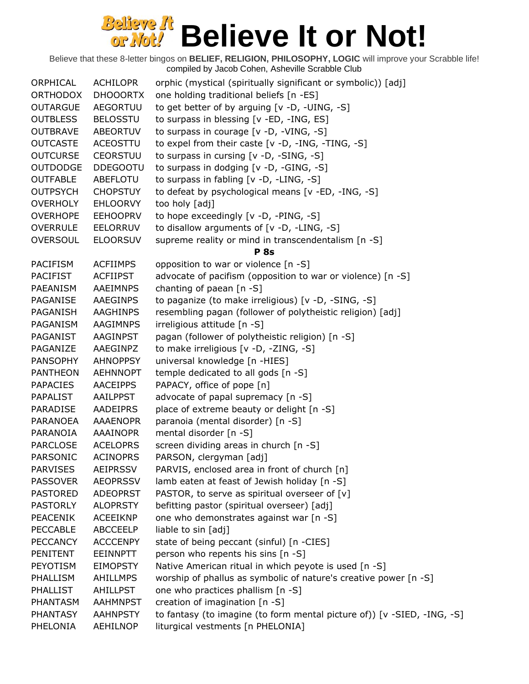| ORPHICAL        | ACHILOPR        | orphic (mystical (spiritually significant or symbolic)) [adj]           |
|-----------------|-----------------|-------------------------------------------------------------------------|
| <b>ORTHODOX</b> | <b>DHOOORTX</b> | one holding traditional beliefs [n -ES]                                 |
| <b>OUTARGUE</b> | <b>AEGORTUU</b> | to get better of by arguing [v -D, -UING, -S]                           |
| <b>OUTBLESS</b> | <b>BELOSSTU</b> | to surpass in blessing [v -ED, -ING, ES]                                |
| <b>OUTBRAVE</b> | ABEORTUV        | to surpass in courage [v -D, -VING, -S]                                 |
| <b>OUTCASTE</b> | <b>ACEOSTTU</b> | to expel from their caste [v -D, -ING, -TING, -S]                       |
| <b>OUTCURSE</b> | <b>CEORSTUU</b> | to surpass in cursing [v -D, -SING, -S]                                 |
| <b>OUTDODGE</b> | <b>DDEGOOTU</b> | to surpass in dodging [v -D, -GING, -S]                                 |
| <b>OUTFABLE</b> | ABEFLOTU        | to surpass in fabling [v -D, -LING, -S]                                 |
| <b>OUTPSYCH</b> | <b>CHOPSTUY</b> |                                                                         |
| <b>OVERHOLY</b> | <b>EHLOORVY</b> | to defeat by psychological means [v -ED, -ING, -S]<br>too holy [adj]    |
|                 |                 |                                                                         |
| <b>OVERHOPE</b> | <b>EEHOOPRV</b> | to hope exceedingly [v -D, -PING, -S]                                   |
| <b>OVERRULE</b> | <b>EELORRUV</b> | to disallow arguments of [v -D, -LING, -S]                              |
| <b>OVERSOUL</b> | <b>ELOORSUV</b> | supreme reality or mind in transcendentalism [n -S]                     |
|                 |                 | <b>P</b> 8s                                                             |
| <b>PACIFISM</b> | <b>ACFIIMPS</b> | opposition to war or violence [n -S]                                    |
| <b>PACIFIST</b> | <b>ACFIIPST</b> | advocate of pacifism (opposition to war or violence) [n -S]             |
| PAEANISM        | AAEIMNPS        | chanting of paean [n -S]                                                |
| PAGANISE        | AAEGINPS        | to paganize (to make irreligious) [v -D, -SING, -S]                     |
| PAGANISH        | AAGHINPS        | resembling pagan (follower of polytheistic religion) [adj]              |
| PAGANISM        | <b>AAGIMNPS</b> | irreligious attitude [n -S]                                             |
| PAGANIST        | AAGINPST        | pagan (follower of polytheistic religion) [n -S]                        |
| PAGANIZE        | AAEGINPZ        | to make irreligious [v -D, -ZING, -S]                                   |
| <b>PANSOPHY</b> | <b>AHNOPPSY</b> | universal knowledge [n -HIES]                                           |
| <b>PANTHEON</b> | <b>AEHNNOPT</b> | temple dedicated to all gods [n -S]                                     |
| <b>PAPACIES</b> | <b>AACEIPPS</b> | PAPACY, office of pope [n]                                              |
| <b>PAPALIST</b> | AAILPPST        | advocate of papal supremacy [n -S]                                      |
| <b>PARADISE</b> | AADEIPRS        | place of extreme beauty or delight [n -S]                               |
| PARANOEA        | <b>AAAENOPR</b> | paranoia (mental disorder) [n -S]                                       |
| PARANOIA        | AAAINOPR        | mental disorder [n -S]                                                  |
| <b>PARCLOSE</b> | <b>ACELOPRS</b> | screen dividing areas in church [n -S]                                  |
| PARSONIC        | <b>ACINOPRS</b> | PARSON, clergyman [adj]                                                 |
| <b>PARVISES</b> | <b>AEIPRSSV</b> | PARVIS, enclosed area in front of church [n]                            |
| <b>PASSOVER</b> | <b>AEOPRSSV</b> | lamb eaten at feast of Jewish holiday [n -S]                            |
| <b>PASTORED</b> | <b>ADEOPRST</b> | PASTOR, to serve as spiritual overseer of [v]                           |
| <b>PASTORLY</b> | <b>ALOPRSTY</b> | befitting pastor (spiritual overseer) [adj]                             |
| <b>PEACENIK</b> | <b>ACEEIKNP</b> | one who demonstrates against war [n -S]                                 |
| <b>PECCABLE</b> | <b>ABCCEELP</b> | liable to sin [adj]                                                     |
| <b>PECCANCY</b> | <b>ACCCENPY</b> | state of being peccant (sinful) [n -CIES]                               |
| PENITENT        | <b>EEINNPTT</b> | person who repents his sins [n -S]                                      |
| PEYOTISM        | <b>EIMOPSTY</b> | Native American ritual in which peyote is used [n -S]                   |
| PHALLISM        | <b>AHILLMPS</b> | worship of phallus as symbolic of nature's creative power [n -S]        |
| PHALLIST        | AHILLPST        | one who practices phallism [n -S]                                       |
| PHANTASM        | <b>AAHMNPST</b> | creation of imagination [n -S]                                          |
| <b>PHANTASY</b> | <b>AAHNPSTY</b> | to fantasy (to imagine (to form mental picture of)) [v -SIED, -ING, -S] |
| PHELONIA        | <b>AEHILNOP</b> | liturgical vestments [n PHELONIA]                                       |
|                 |                 |                                                                         |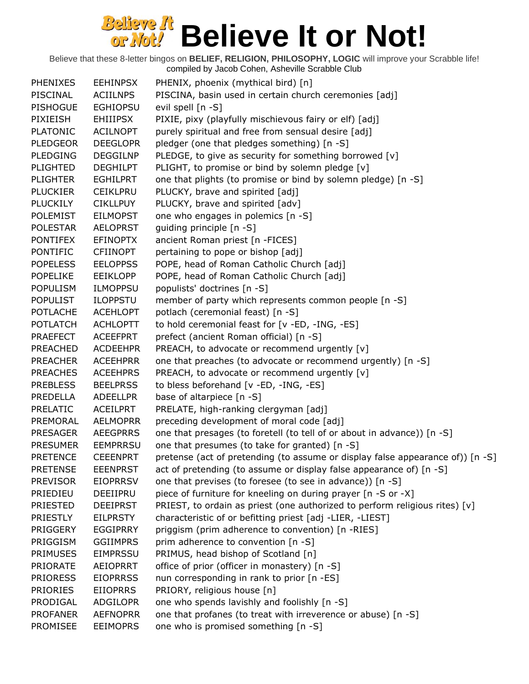| <b>PHENIXES</b> | <b>EEHINPSX</b> | PHENIX, phoenix (mythical bird) [n]                                            |
|-----------------|-----------------|--------------------------------------------------------------------------------|
| PISCINAL        | <b>ACIILNPS</b> | PISCINA, basin used in certain church ceremonies [adj]                         |
| <b>PISHOGUE</b> | <b>EGHIOPSU</b> | evil spell [n -S]                                                              |
| PIXIEISH        | <b>EHIIIPSX</b> | PIXIE, pixy (playfully mischievous fairy or elf) [adj]                         |
| <b>PLATONIC</b> | <b>ACILNOPT</b> | purely spiritual and free from sensual desire [adj]                            |
| <b>PLEDGEOR</b> | <b>DEEGLOPR</b> | pledger (one that pledges something) [n -S]                                    |
| <b>PLEDGING</b> | <b>DEGGILNP</b> | PLEDGE, to give as security for something borrowed [v]                         |
| <b>PLIGHTED</b> | <b>DEGHILPT</b> | PLIGHT, to promise or bind by solemn pledge [v]                                |
| <b>PLIGHTER</b> | <b>EGHILPRT</b> | one that plights (to promise or bind by solemn pledge) [n -S]                  |
| <b>PLUCKIER</b> | <b>CEIKLPRU</b> | PLUCKY, brave and spirited [adj]                                               |
| <b>PLUCKILY</b> | <b>CIKLLPUY</b> | PLUCKY, brave and spirited [adv]                                               |
| <b>POLEMIST</b> | <b>EILMOPST</b> | one who engages in polemics [n -S]                                             |
| <b>POLESTAR</b> | <b>AELOPRST</b> | guiding principle [n -S]                                                       |
| <b>PONTIFEX</b> | <b>EFINOPTX</b> | ancient Roman priest [n -FICES]                                                |
| <b>PONTIFIC</b> | <b>CFIINOPT</b> | pertaining to pope or bishop [adj]                                             |
| <b>POPELESS</b> | <b>EELOPPSS</b> | POPE, head of Roman Catholic Church [adj]                                      |
| <b>POPELIKE</b> | <b>EEIKLOPP</b> | POPE, head of Roman Catholic Church [adj]                                      |
| <b>POPULISM</b> | <b>ILMOPPSU</b> | populists' doctrines [n -S]                                                    |
| <b>POPULIST</b> | <b>ILOPPSTU</b> | member of party which represents common people [n -S]                          |
| <b>POTLACHE</b> | <b>ACEHLOPT</b> | potlach (ceremonial feast) [n -S]                                              |
| <b>POTLATCH</b> | <b>ACHLOPTT</b> | to hold ceremonial feast for [v -ED, -ING, -ES]                                |
| <b>PRAEFECT</b> | <b>ACEEFPRT</b> | prefect (ancient Roman official) [n -S]                                        |
| <b>PREACHED</b> | <b>ACDEEHPR</b> | PREACH, to advocate or recommend urgently [v]                                  |
| <b>PREACHER</b> | <b>ACEEHPRR</b> | one that preaches (to advocate or recommend urgently) [n -S]                   |
| <b>PREACHES</b> | <b>ACEEHPRS</b> | PREACH, to advocate or recommend urgently [v]                                  |
| <b>PREBLESS</b> | <b>BEELPRSS</b> | to bless beforehand [v -ED, -ING, -ES]                                         |
| PREDELLA        | <b>ADEELLPR</b> | base of altarpiece [n -S]                                                      |
| PRELATIC        | <b>ACEILPRT</b> | PRELATE, high-ranking clergyman [adj]                                          |
| PREMORAL        | <b>AELMOPRR</b> | preceding development of moral code [adj]                                      |
| <b>PRESAGER</b> | <b>AEEGPRRS</b> | one that presages (to foretell (to tell of or about in advance)) [n -S]        |
| <b>PRESUMER</b> | <b>EEMPRRSU</b> | one that presumes (to take for granted) [n -S]                                 |
| <b>PRETENCE</b> | <b>CEEENPRT</b> | pretense (act of pretending (to assume or display false appearance of)) [n -S] |
| <b>PRETENSE</b> | <b>EEENPRST</b> | act of pretending (to assume or display false appearance of) [n -S]            |
| <b>PREVISOR</b> | <b>EIOPRRSV</b> | one that previses (to foresee (to see in advance)) [n -S]                      |
| PRIEDIEU        | DEEIIPRU        | piece of furniture for kneeling on during prayer [n -S or -X]                  |
| <b>PRIESTED</b> | <b>DEEIPRST</b> | PRIEST, to ordain as priest (one authorized to perform religious rites) [v]    |
| PRIESTLY        | <b>EILPRSTY</b> | characteristic of or befitting priest [adj -LIER, -LIEST]                      |
| PRIGGERY        | <b>EGGIPRRY</b> | priggism (prim adherence to convention) [n -RIES]                              |
| PRIGGISM        | <b>GGIIMPRS</b> | prim adherence to convention [n -S]                                            |
| <b>PRIMUSES</b> | <b>EIMPRSSU</b> | PRIMUS, head bishop of Scotland [n]                                            |
| PRIORATE        | <b>AEIOPRRT</b> | office of prior (officer in monastery) [n -S]                                  |
| <b>PRIORESS</b> | <b>EIOPRRSS</b> | nun corresponding in rank to prior [n -ES]                                     |
| <b>PRIORIES</b> | <b>EIIOPRRS</b> | PRIORY, religious house [n]                                                    |
| PRODIGAL        | <b>ADGILOPR</b> | one who spends lavishly and foolishly [n -S]                                   |
| <b>PROFANER</b> | <b>AEFNOPRR</b> | one that profanes (to treat with irreverence or abuse) [n -S]                  |
| <b>PROMISEE</b> | <b>EEIMOPRS</b> | one who is promised something [n -S]                                           |
|                 |                 |                                                                                |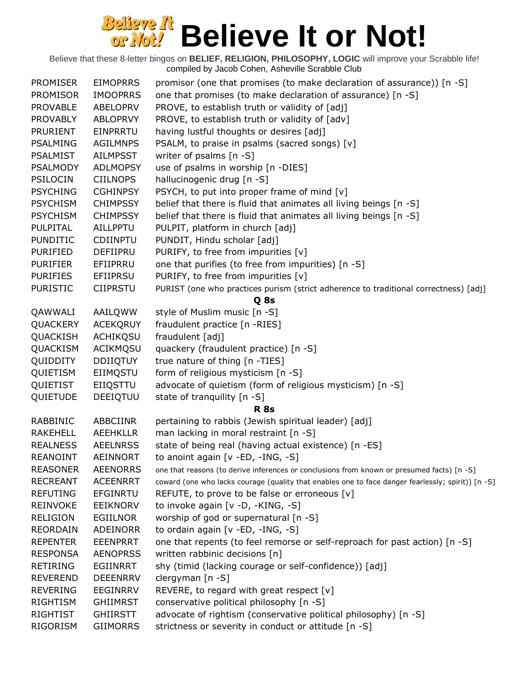| <b>PROMISER</b> | <b>EIMOPRRS</b> | promisor (one that promises (to make declaration of assurance)) $[n -S]$                           |
|-----------------|-----------------|----------------------------------------------------------------------------------------------------|
| <b>PROMISOR</b> | <b>IMOOPRRS</b> | one that promises (to make declaration of assurance) [n -S]                                        |
| <b>PROVABLE</b> | ABELOPRV        | PROVE, to establish truth or validity of [adj]                                                     |
| <b>PROVABLY</b> | <b>ABLOPRVY</b> | PROVE, to establish truth or validity of [adv]                                                     |
| <b>PRURIENT</b> | <b>EINPRRTU</b> | having lustful thoughts or desires [adj]                                                           |
| <b>PSALMING</b> | <b>AGILMNPS</b> | PSALM, to praise in psalms (sacred songs) [v]                                                      |
| <b>PSALMIST</b> | <b>AILMPSST</b> | writer of psalms [n -S]                                                                            |
| <b>PSALMODY</b> | <b>ADLMOPSY</b> | use of psalms in worship [n -DIES]                                                                 |
| PSILOCIN        | <b>CIILNOPS</b> | hallucinogenic drug [n -S]                                                                         |
| <b>PSYCHING</b> | <b>CGHINPSY</b> | PSYCH, to put into proper frame of mind [v]                                                        |
| <b>PSYCHISM</b> | <b>CHIMPSSY</b> | belief that there is fluid that animates all living beings [n -S]                                  |
| <b>PSYCHISM</b> | <b>CHIMPSSY</b> | belief that there is fluid that animates all living beings [n -S]                                  |
| PULPITAL        | AILLPPTU        | PULPIT, platform in church [adj]                                                                   |
| <b>PUNDITIC</b> | <b>CDIINPTU</b> | PUNDIT, Hindu scholar [adj]                                                                        |
| <b>PURIFIED</b> | DEFIIPRU        | PURIFY, to free from impurities [v]                                                                |
| <b>PURIFIER</b> | EFIIPRRU        | one that purifies (to free from impurities) [n -S]                                                 |
| <b>PURIFIES</b> | EFIIPRSU        | PURIFY, to free from impurities [v]                                                                |
| <b>PURISTIC</b> | <b>CIIPRSTU</b> | PURIST (one who practices purism (strict adherence to traditional correctness) [adj]               |
|                 |                 | Q 8s                                                                                               |
| QAWWALI         | AAILQWW         | style of Muslim music [n -S]                                                                       |
| QUACKERY        | <b>ACEKQRUY</b> | fraudulent practice [n -RIES]                                                                      |
| QUACKISH        | ACHIKQSU        | fraudulent [adj]                                                                                   |
| QUACKISM        | ACIKMQSU        | quackery (fraudulent practice) [n -S]                                                              |
| QUIDDITY        | <b>DDIIQTUY</b> | true nature of thing [n -TIES]                                                                     |
| QUIETISM        | EIIMQSTU        | form of religious mysticism [n -S]                                                                 |
| QUIETIST        | EIIQSTTU        | advocate of quietism (form of religious mysticism) [n -S]                                          |
| QUIETUDE        | DEEIQTUU        | state of tranquility [n -S]                                                                        |
|                 |                 | <b>R</b> 8s                                                                                        |
| RABBINIC        | ABBCIINR        | pertaining to rabbis (Jewish spiritual leader) [adj]                                               |
| <b>RAKEHELL</b> | <b>AEEHKLLR</b> | man lacking in moral restraint [n -S]                                                              |
| <b>REALNESS</b> | <b>AEELNRSS</b> | state of being real (having actual existence) [n -ES]                                              |
| <b>REANOINT</b> | <b>AEINNORT</b> | to anoint again [v -ED, -ING, -S]                                                                  |
| <b>REASONER</b> | <b>AEENORRS</b> | one that reasons (to derive inferences or conclusions from known or presumed facts) [n -S]         |
| <b>RECREANT</b> | <b>ACEENRRT</b> | coward (one who lacks courage (quality that enables one to face danger fearlessly; spirit)) [n -S] |
| <b>REFUTING</b> | <b>EFGINRTU</b> | REFUTE, to prove to be false or erroneous $[v]$                                                    |
| <b>REINVOKE</b> | <b>EEIKNORV</b> | to invoke again [v -D, -KING, -S]                                                                  |
| <b>RELIGION</b> | <b>EGIILNOR</b> | worship of god or supernatural [n -S]                                                              |
| <b>REORDAIN</b> | <b>ADEINORR</b> | to ordain again [v -ED, -ING, -S]                                                                  |
| <b>REPENTER</b> | <b>EEENPRRT</b> | one that repents (to feel remorse or self-reproach for past action) [n -S]                         |
| <b>RESPONSA</b> | <b>AENOPRSS</b> | written rabbinic decisions [n]                                                                     |
| <b>RETIRING</b> | EGIINRRT        | shy (timid (lacking courage or self-confidence)) [adj]                                             |
| <b>REVEREND</b> | <b>DEEENRRV</b> | clergyman $[n - S]$                                                                                |
| <b>REVERING</b> | EEGINRRV        | REVERE, to regard with great respect $[v]$                                                         |
| RIGHTISM        | <b>GHIIMRST</b> | conservative political philosophy [n -S]                                                           |
| <b>RIGHTIST</b> | <b>GHIIRSTT</b> | advocate of rightism (conservative political philosophy) [n -S]                                    |
| RIGORISM        | <b>GIIMORRS</b> | strictness or severity in conduct or attitude [n -S]                                               |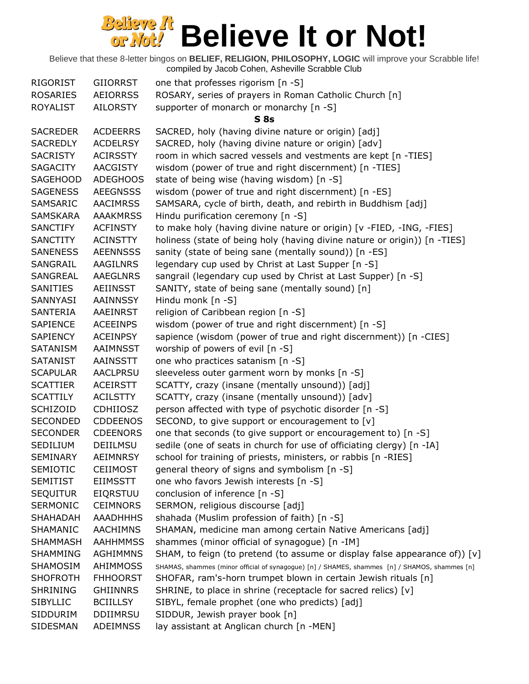| <b>RIGORIST</b> | <b>GIIORRST</b> | one that professes rigorism [n -S]                                                            |
|-----------------|-----------------|-----------------------------------------------------------------------------------------------|
| <b>ROSARIES</b> | <b>AEIORRSS</b> | ROSARY, series of prayers in Roman Catholic Church [n]                                        |
| <b>ROYALIST</b> | <b>AILORSTY</b> | supporter of monarch or monarchy [n -S]                                                       |
|                 |                 | S <sub>8s</sub>                                                                               |
| <b>SACREDER</b> | <b>ACDEERRS</b> | SACRED, holy (having divine nature or origin) [adj]                                           |
| <b>SACREDLY</b> | <b>ACDELRSY</b> | SACRED, holy (having divine nature or origin) [adv]                                           |
| <b>SACRISTY</b> | <b>ACIRSSTY</b> | room in which sacred vessels and vestments are kept [n -TIES]                                 |
| <b>SAGACITY</b> | <b>AACGISTY</b> | wisdom (power of true and right discernment) [n -TIES]                                        |
| <b>SAGEHOOD</b> | <b>ADEGHOOS</b> | state of being wise (having wisdom) [n -S]                                                    |
| <b>SAGENESS</b> | <b>AEEGNSSS</b> | wisdom (power of true and right discernment) [n -ES]                                          |
| SAMSARIC        | <b>AACIMRSS</b> | SAMSARA, cycle of birth, death, and rebirth in Buddhism [adj]                                 |
| <b>SAMSKARA</b> | <b>AAAKMRSS</b> | Hindu purification ceremony [n -S]                                                            |
| SANCTIFY        | <b>ACFINSTY</b> | to make holy (having divine nature or origin) [v -FIED, -ING, -FIES]                          |
| SANCTITY        | <b>ACINSTTY</b> | holiness (state of being holy (having divine nature or origin)) [n -TIES]                     |
| <b>SANENESS</b> | <b>AEENNSSS</b> | sanity (state of being sane (mentally sound)) [n -ES]                                         |
| SANGRAIL        | AAGILNRS        | legendary cup used by Christ at Last Supper [n -S]                                            |
| SANGREAL        | <b>AAEGLNRS</b> | sangrail (legendary cup used by Christ at Last Supper) [n -S]                                 |
| <b>SANITIES</b> | AEIINSST        | SANITY, state of being sane (mentally sound) [n]                                              |
| SANNYASI        | AAINNSSY        | Hindu monk [n -S]                                                                             |
| SANTERIA        | AAEINRST        | religion of Caribbean region [n -S]                                                           |
| <b>SAPIENCE</b> | <b>ACEEINPS</b> | wisdom (power of true and right discernment) [n -S]                                           |
| <b>SAPIENCY</b> | <b>ACEINPSY</b> | sapience (wisdom (power of true and right discernment)) [n -CIES]                             |
| <b>SATANISM</b> | AAIMNSST        | worship of powers of evil [n -S]                                                              |
| <b>SATANIST</b> | AAINSSTT        | one who practices satanism [n -S]                                                             |
| <b>SCAPULAR</b> | <b>AACLPRSU</b> | sleeveless outer garment worn by monks [n -S]                                                 |
| <b>SCATTIER</b> | <b>ACEIRSTT</b> | SCATTY, crazy (insane (mentally unsound)) [adj]                                               |
| <b>SCATTILY</b> | <b>ACILSTTY</b> | SCATTY, crazy (insane (mentally unsound)) [adv]                                               |
| <b>SCHIZOID</b> | <b>CDHIIOSZ</b> | person affected with type of psychotic disorder [n -S]                                        |
| <b>SECONDED</b> | <b>CDDEENOS</b> | SECOND, to give support or encouragement to [v]                                               |
| <b>SECONDER</b> | <b>CDEENORS</b> | one that seconds (to give support or encouragement to) [n -S]                                 |
| SEDILIUM        | DEIILMSU        | sedile (one of seats in church for use of officiating clergy) [n -IA]                         |
| <b>SEMINARY</b> | <b>AEIMNRSY</b> | school for training of priests, ministers, or rabbis [n -RIES]                                |
| <b>SEMIOTIC</b> | <b>CEIIMOST</b> | general theory of signs and symbolism [n -S]                                                  |
| <b>SEMITIST</b> | <b>EIIMSSTT</b> | one who favors Jewish interests [n -S]                                                        |
| <b>SEQUITUR</b> | <b>EIQRSTUU</b> | conclusion of inference [n -S]                                                                |
| <b>SERMONIC</b> | <b>CEIMNORS</b> | SERMON, religious discourse [adj]                                                             |
| <b>SHAHADAH</b> | <b>AAADHHHS</b> | shahada (Muslim profession of faith) [n -S]                                                   |
| SHAMANIC        | <b>AACHIMNS</b> | SHAMAN, medicine man among certain Native Americans [adj]                                     |
| <b>SHAMMASH</b> | <b>AAHHMMSS</b> | shammes (minor official of synagogue) [n -IM]                                                 |
| SHAMMING        | <b>AGHIMMNS</b> | SHAM, to feign (to pretend (to assume or display false appearance of)) $[v]$                  |
| <b>SHAMOSIM</b> | AHIMMOSS        | SHAMAS, shammes (minor official of synagogue) [n] / SHAMES, shammes [n] / SHAMOS, shammes [n] |
| <b>SHOFROTH</b> | <b>FHHOORST</b> | SHOFAR, ram's-horn trumpet blown in certain Jewish rituals [n]                                |
| <b>SHRINING</b> | <b>GHIINNRS</b> | SHRINE, to place in shrine (receptacle for sacred relics) [v]                                 |
| <b>SIBYLLIC</b> | <b>BCIILLSY</b> | SIBYL, female prophet (one who predicts) [adj]                                                |
| SIDDURIM        | <b>DDIIMRSU</b> | SIDDUR, Jewish prayer book [n]                                                                |
| SIDESMAN        | ADEIMNSS        |                                                                                               |
|                 |                 | lay assistant at Anglican church [n -MEN]                                                     |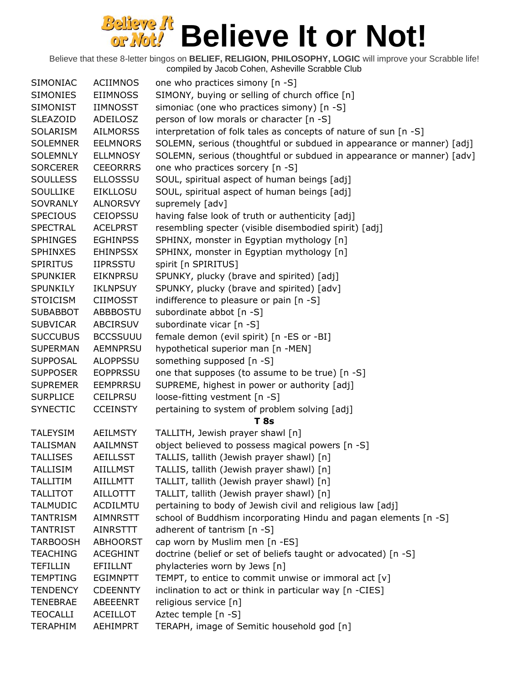| SIMONIAC        | <b>ACIIMNOS</b> | one who practices simony [n -S]                                       |
|-----------------|-----------------|-----------------------------------------------------------------------|
| <b>SIMONIES</b> | <b>EIIMNOSS</b> | SIMONY, buying or selling of church office [n]                        |
| SIMONIST        | IIMNOSST        | simoniac (one who practices simony) [n -S]                            |
| <b>SLEAZOID</b> | ADEILOSZ        | person of low morals or character [n -S]                              |
| SOLARISM        | <b>AILMORSS</b> | interpretation of folk tales as concepts of nature of sun [n -S]      |
| <b>SOLEMNER</b> | <b>EELMNORS</b> | SOLEMN, serious (thoughtful or subdued in appearance or manner) [adj] |
| <b>SOLEMNLY</b> | <b>ELLMNOSY</b> | SOLEMN, serious (thoughtful or subdued in appearance or manner) [adv] |
| <b>SORCERER</b> | <b>CEEORRRS</b> | one who practices sorcery [n -S]                                      |
| <b>SOULLESS</b> | <b>ELLOSSSU</b> | SOUL, spiritual aspect of human beings [adj]                          |
| <b>SOULLIKE</b> | <b>EIKLLOSU</b> | SOUL, spiritual aspect of human beings [adj]                          |
| <b>SOVRANLY</b> | <b>ALNORSVY</b> | supremely [adv]                                                       |
| <b>SPECIOUS</b> | <b>CEIOPSSU</b> | having false look of truth or authenticity [adj]                      |
| <b>SPECTRAL</b> | <b>ACELPRST</b> | resembling specter (visible disembodied spirit) [adj]                 |
| <b>SPHINGES</b> | <b>EGHINPSS</b> | SPHINX, monster in Egyptian mythology [n]                             |
| <b>SPHINXES</b> | <b>EHINPSSX</b> | SPHINX, monster in Egyptian mythology [n]                             |
| <b>SPIRITUS</b> | <b>IIPRSSTU</b> | spirit [n SPIRITUS]                                                   |
| SPUNKIER        | <b>EIKNPRSU</b> | SPUNKY, plucky (brave and spirited) [adj]                             |
| <b>SPUNKILY</b> | <b>IKLNPSUY</b> | SPUNKY, plucky (brave and spirited) [adv]                             |
| <b>STOICISM</b> | <b>CIIMOSST</b> | indifference to pleasure or pain [n -S]                               |
| <b>SUBABBOT</b> | ABBBOSTU        | subordinate abbot [n -S]                                              |
| <b>SUBVICAR</b> | ABCIRSUV        | subordinate vicar [n -S]                                              |
| <b>SUCCUBUS</b> | <b>BCCSSUUU</b> | female demon (evil spirit) [n -ES or -BI]                             |
| <b>SUPERMAN</b> | <b>AEMNPRSU</b> | hypothetical superior man [n -MEN]                                    |
| <b>SUPPOSAL</b> | <b>ALOPPSSU</b> | something supposed [n -S]                                             |
| <b>SUPPOSER</b> | <b>EOPPRSSU</b> | one that supposes (to assume to be true) [n -S]                       |
| <b>SUPREMER</b> | <b>EEMPRRSU</b> | SUPREME, highest in power or authority [adj]                          |
| <b>SURPLICE</b> | <b>CEILPRSU</b> | loose-fitting vestment [n -S]                                         |
| <b>SYNECTIC</b> | <b>CCEINSTY</b> | pertaining to system of problem solving [adj]                         |
|                 |                 | <b>T</b> 8s                                                           |
| <b>TALEYSIM</b> | <b>AEILMSTY</b> | TALLITH, Jewish prayer shawl [n]                                      |
| <b>TALISMAN</b> | AAILMNST        | object believed to possess magical powers [n -S]                      |
| <b>TALLISES</b> | <b>AEILLSST</b> | TALLIS, tallith (Jewish prayer shawl) [n]                             |
| <b>TALLISIM</b> | <b>AIILLMST</b> | TALLIS, tallith (Jewish prayer shawl) [n]                             |
| <b>TALLITIM</b> | AIILLMTT        | TALLIT, tallith (Jewish prayer shawl) [n]                             |
| <b>TALLITOT</b> | <b>AILLOTTT</b> | TALLIT, tallith (Jewish prayer shawl) [n]                             |
| <b>TALMUDIC</b> | ACDILMTU        | pertaining to body of Jewish civil and religious law [adj]            |
| <b>TANTRISM</b> | <b>AIMNRSTT</b> | school of Buddhism incorporating Hindu and pagan elements [n -S]      |
| <b>TANTRIST</b> | <b>AINRSTTT</b> | adherent of tantrism $[n - S]$                                        |
| <b>TARBOOSH</b> | <b>ABHOORST</b> | cap worn by Muslim men [n -ES]                                        |
| <b>TEACHING</b> | <b>ACEGHINT</b> | doctrine (belief or set of beliefs taught or advocated) [n -S]        |
| <b>TEFILLIN</b> | <b>EFIILLNT</b> | phylacteries worn by Jews [n]                                         |
| <b>TEMPTING</b> | <b>EGIMNPTT</b> | TEMPT, to entice to commit unwise or immoral act $[v]$                |
| <b>TENDENCY</b> | <b>CDEENNTY</b> | inclination to act or think in particular way [n -CIES]               |
| <b>TENEBRAE</b> | ABEEENRT        | religious service [n]                                                 |
| <b>TEOCALLI</b> | <b>ACEILLOT</b> | Aztec temple [n -S]                                                   |
| <b>TERAPHIM</b> | AEHIMPRT        | TERAPH, image of Semitic household god [n]                            |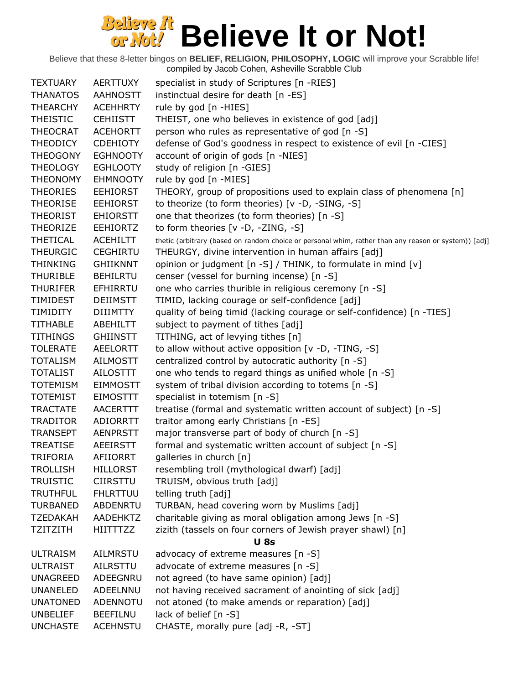Believe that these 8-letter bingos on **BELIEF, RELIGION, PHILOSOPHY, LOGIC** will improve your Scrabble life!

compiled by Jacob Cohen, Asheville Scrabble Club

| <b>TEXTUARY</b> | <b>AERTTUXY</b> | specialist in study of Scriptures [n -RIES]                                                          |
|-----------------|-----------------|------------------------------------------------------------------------------------------------------|
| <b>THANATOS</b> | <b>AAHNOSTT</b> | instinctual desire for death [n -ES]                                                                 |
| <b>THEARCHY</b> | <b>ACEHHRTY</b> | rule by god [n -HIES]                                                                                |
| <b>THEISTIC</b> | <b>CEHIISTT</b> | THEIST, one who believes in existence of god [adj]                                                   |
| <b>THEOCRAT</b> | <b>ACEHORTT</b> | person who rules as representative of god [n -S]                                                     |
| <b>THEODICY</b> | <b>CDEHIOTY</b> | defense of God's goodness in respect to existence of evil [n -CIES]                                  |
| <b>THEOGONY</b> | <b>EGHNOOTY</b> | account of origin of gods [n -NIES]                                                                  |
| <b>THEOLOGY</b> | <b>EGHLOOTY</b> | study of religion [n -GIES]                                                                          |
| <b>THEONOMY</b> | <b>EHMNOOTY</b> | rule by god [n -MIES]                                                                                |
| <b>THEORIES</b> | <b>EEHIORST</b> | THEORY, group of propositions used to explain class of phenomena [n]                                 |
| <b>THEORISE</b> | <b>EEHIORST</b> | to theorize (to form theories) [v -D, -SING, -S]                                                     |
| <b>THEORIST</b> | <b>EHIORSTT</b> | one that theorizes (to form theories) [n -S]                                                         |
| <b>THEORIZE</b> | <b>EEHIORTZ</b> | to form theories [v -D, -ZING, -S]                                                                   |
| <b>THETICAL</b> | <b>ACEHILTT</b> | thetic (arbitrary (based on random choice or personal whim, rather than any reason or system)) [adj] |
| <b>THEURGIC</b> | <b>CEGHIRTU</b> | THEURGY, divine intervention in human affairs [adj]                                                  |
| <b>THINKING</b> | <b>GHIIKNNT</b> | opinion or judgment [n -S] / THINK, to formulate in mind [v]                                         |
| <b>THURIBLE</b> | <b>BEHILRTU</b> | censer (vessel for burning incense) [n -S]                                                           |
| <b>THURIFER</b> | EFHIRRTU        | one who carries thurible in religious ceremony [n -S]                                                |
| TIMIDEST        | <b>DEIIMSTT</b> | TIMID, lacking courage or self-confidence [adj]                                                      |
| <b>TIMIDITY</b> | <b>DIIIMTTY</b> | quality of being timid (lacking courage or self-confidence) [n -TIES]                                |
| <b>TITHABLE</b> | ABEHILTT        | subject to payment of tithes [adj]                                                                   |
| <b>TITHINGS</b> | <b>GHIINSTT</b> | TITHING, act of levying tithes [n]                                                                   |
| <b>TOLERATE</b> | AEELORTT        | to allow without active opposition [v -D, -TING, -S]                                                 |
| <b>TOTALISM</b> | <b>AILMOSTT</b> | centralized control by autocratic authority [n -S]                                                   |
| <b>TOTALIST</b> | <b>AILOSTTT</b> | one who tends to regard things as unified whole [n -S]                                               |
| <b>TOTEMISM</b> | <b>EIMMOSTT</b> | system of tribal division according to totems [n -S]                                                 |
| <b>TOTEMIST</b> | <b>EIMOSTTT</b> | specialist in totemism [n -S]                                                                        |
| <b>TRACTATE</b> | <b>AACERTTT</b> | treatise (formal and systematic written account of subject) [n -S]                                   |
| <b>TRADITOR</b> | ADIORRTT        | traitor among early Christians [n -ES]                                                               |
| <b>TRANSEPT</b> | <b>AENPRSTT</b> | major transverse part of body of church [n -S]                                                       |
| <b>TREATISE</b> | <b>AEEIRSTT</b> | formal and systematic written account of subject [n -S]                                              |
| <b>TRIFORIA</b> | AFIIORRT        | galleries in church [n]                                                                              |
| <b>TROLLISH</b> | <b>HILLORST</b> | resembling troll (mythological dwarf) [adj]                                                          |
| <b>TRUISTIC</b> | <b>CIIRSTTU</b> | TRUISM, obvious truth [adj]                                                                          |
| <b>TRUTHFUL</b> | <b>FHLRTTUU</b> | telling truth [adj]                                                                                  |
| <b>TURBANED</b> | <b>ABDENRTU</b> | TURBAN, head covering worn by Muslims [adj]                                                          |
| <b>TZEDAKAH</b> | AADEHKTZ        | charitable giving as moral obligation among Jews [n -S]                                              |
| <b>TZITZITH</b> | <b>HIITTTZZ</b> | zizith (tassels on four corners of Jewish prayer shawl) [n]<br><b>U</b> 8s                           |
| <b>ULTRAISM</b> | <b>AILMRSTU</b> | advocacy of extreme measures [n -S]                                                                  |
| <b>ULTRAIST</b> | AILRSTTU        | advocate of extreme measures [n -S]                                                                  |
| <b>UNAGREED</b> | ADEEGNRU        | not agreed (to have same opinion) [adj]                                                              |
| <b>UNANELED</b> | ADEELNNU        | not having received sacrament of anointing of sick [adj]                                             |
| <b>UNATONED</b> | ADENNOTU        | not atoned (to make amends or reparation) [adj]                                                      |
| <b>UNBELIEF</b> | <b>BEEFILNU</b> | lack of belief [n -S]                                                                                |
| <b>UNCHASTE</b> | <b>ACEHNSTU</b> | CHASTE, morally pure [adj -R, -ST]                                                                   |
|                 |                 |                                                                                                      |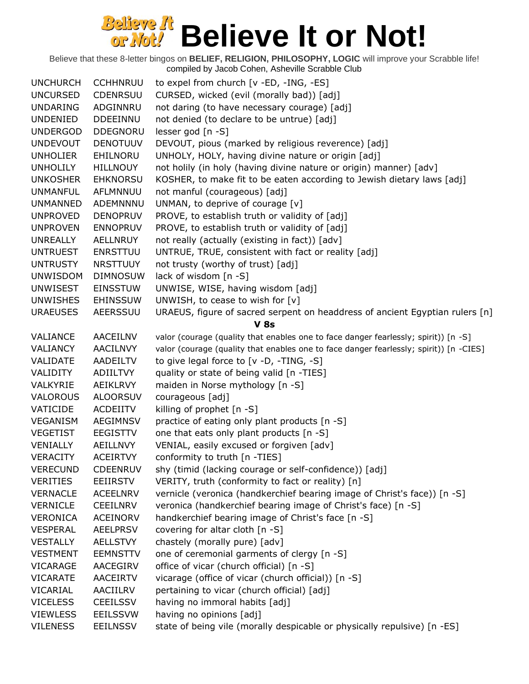| <b>UNCHURCH</b> | <b>CCHHNRUU</b> | to expel from church [v -ED, -ING, -ES]                                                |
|-----------------|-----------------|----------------------------------------------------------------------------------------|
| <b>UNCURSED</b> | CDENRSUU        | CURSED, wicked (evil (morally bad)) [adj]                                              |
| <b>UNDARING</b> | ADGINNRU        | not daring (to have necessary courage) [adj]                                           |
| <b>UNDENIED</b> | <b>DDEEINNU</b> | not denied (to declare to be untrue) [adj]                                             |
| <b>UNDERGOD</b> | <b>DDEGNORU</b> | lesser god [n -S]                                                                      |
| <b>UNDEVOUT</b> | <b>DENOTUUV</b> | DEVOUT, pious (marked by religious reverence) [adj]                                    |
| <b>UNHOLIER</b> | EHILNORU        | UNHOLY, HOLY, having divine nature or origin [adj]                                     |
| <b>UNHOLILY</b> | <b>HILLNOUY</b> | not holily (in holy (having divine nature or origin) manner) [adv]                     |
| <b>UNKOSHER</b> | <b>EHKNORSU</b> | KOSHER, to make fit to be eaten according to Jewish dietary laws [adj]                 |
| <b>UNMANFUL</b> | AFLMNNUU        | not manful (courageous) [adj]                                                          |
| <b>UNMANNED</b> | ADEMNNNU        | UNMAN, to deprive of courage [v]                                                       |
| <b>UNPROVED</b> | <b>DENOPRUV</b> | PROVE, to establish truth or validity of [adj]                                         |
| <b>UNPROVEN</b> | <b>ENNOPRUV</b> | PROVE, to establish truth or validity of [adj]                                         |
| <b>UNREALLY</b> | AELLNRUY        | not really (actually (existing in fact)) [adv]                                         |
| <b>UNTRUEST</b> | <b>ENRSTTUU</b> | UNTRUE, TRUE, consistent with fact or reality [adj]                                    |
| <b>UNTRUSTY</b> | <b>NRSTTUUY</b> | not trusty (worthy of trust) [adj]                                                     |
| <b>UNWISDOM</b> | <b>DIMNOSUW</b> |                                                                                        |
|                 |                 | lack of wisdom [n -S]                                                                  |
| <b>UNWISEST</b> | <b>EINSSTUW</b> | UNWISE, WISE, having wisdom [adj]                                                      |
| <b>UNWISHES</b> | <b>EHINSSUW</b> | UNWISH, to cease to wish for [v]                                                       |
| <b>URAEUSES</b> | <b>AEERSSUU</b> | URAEUS, figure of sacred serpent on headdress of ancient Egyptian rulers [n]           |
|                 |                 | <b>V 8s</b>                                                                            |
| VALIANCE        | <b>AACEILNV</b> | valor (courage (quality that enables one to face danger fearlessly; spirit)) [n -S]    |
| VALIANCY        | <b>AACILNVY</b> | valor (courage (quality that enables one to face danger fearlessly; spirit)) [n -CIES] |
| VALIDATE        | <b>AADEILTV</b> | to give legal force to [v -D, -TING, -S]                                               |
| <b>VALIDITY</b> | <b>ADIILTVY</b> | quality or state of being valid [n -TIES]                                              |
| VALKYRIE        | AEIKLRVY        | maiden in Norse mythology [n -S]                                                       |
| <b>VALOROUS</b> | <b>ALOORSUV</b> | courageous [adj]                                                                       |
| VATICIDE        | <b>ACDEIITV</b> | killing of prophet [n -S]                                                              |
| VEGANISM        | <b>AEGIMNSV</b> | practice of eating only plant products [n -S]                                          |
| <b>VEGETIST</b> | <b>EEGISTTV</b> | one that eats only plant products [n -S]                                               |
| VENIALLY        | <b>AEILLNVY</b> | VENIAL, easily excused or forgiven [adv]                                               |
| <b>VERACITY</b> | <b>ACEIRTVY</b> | conformity to truth [n -TIES]                                                          |
| <b>VERECUND</b> | <b>CDEENRUV</b> | shy (timid (lacking courage or self-confidence)) [adj]                                 |
| <b>VERITIES</b> | <b>EEIIRSTV</b> | VERITY, truth (conformity to fact or reality) [n]                                      |
| <b>VERNACLE</b> | <b>ACEELNRV</b> | vernicle (veronica (handkerchief bearing image of Christ's face)) [n -S]               |
| <b>VERNICLE</b> | <b>CEEILNRV</b> | veronica (handkerchief bearing image of Christ's face) [n -S]                          |
| <b>VERONICA</b> | <b>ACEINORV</b> | handkerchief bearing image of Christ's face [n -S]                                     |
| <b>VESPERAL</b> | <b>AEELPRSV</b> | covering for altar cloth [n -S]                                                        |
| <b>VESTALLY</b> | <b>AELLSTVY</b> | chastely (morally pure) [adv]                                                          |
| <b>VESTMENT</b> | <b>EEMNSTTV</b> | one of ceremonial garments of clergy [n -S]                                            |
| VICARAGE        | AACEGIRV        | office of vicar (church official) [n -S]                                               |
| <b>VICARATE</b> | <b>AACEIRTV</b> | vicarage (office of vicar (church official)) [n -S]                                    |
| VICARIAL        | AACIILRV        | pertaining to vicar (church official) [adj]                                            |
| <b>VICELESS</b> | <b>CEEILSSV</b> | having no immoral habits [adj]                                                         |
| <b>VIEWLESS</b> | <b>EEILSSVW</b> | having no opinions [adj]                                                               |
| <b>VILENESS</b> | <b>EEILNSSV</b> | state of being vile (morally despicable or physically repulsive) [n -ES]               |